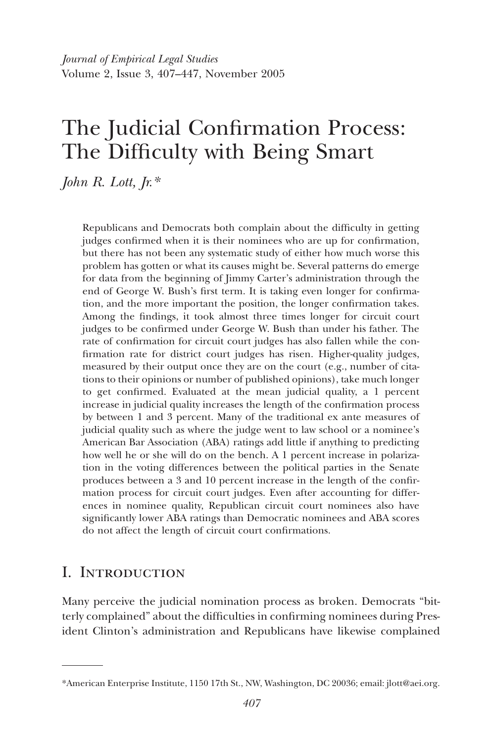# The Judicial Confirmation Process: The Difficulty with Being Smart

*John R. Lott, Jr.\**

Republicans and Democrats both complain about the difficulty in getting judges confirmed when it is their nominees who are up for confirmation, but there has not been any systematic study of either how much worse this problem has gotten or what its causes might be. Several patterns do emerge for data from the beginning of Jimmy Carter's administration through the end of George W. Bush's first term. It is taking even longer for confirmation, and the more important the position, the longer confirmation takes. Among the findings, it took almost three times longer for circuit court judges to be confirmed under George W. Bush than under his father. The rate of confirmation for circuit court judges has also fallen while the confirmation rate for district court judges has risen. Higher-quality judges, measured by their output once they are on the court (e.g., number of citations to their opinions or number of published opinions), take much longer to get confirmed. Evaluated at the mean judicial quality, a 1 percent increase in judicial quality increases the length of the confirmation process by between 1 and 3 percent. Many of the traditional ex ante measures of judicial quality such as where the judge went to law school or a nominee's American Bar Association (ABA) ratings add little if anything to predicting how well he or she will do on the bench. A 1 percent increase in polarization in the voting differences between the political parties in the Senate produces between a 3 and 10 percent increase in the length of the confirmation process for circuit court judges. Even after accounting for differences in nominee quality, Republican circuit court nominees also have significantly lower ABA ratings than Democratic nominees and ABA scores do not affect the length of circuit court confirmations.

# I. Introduction

Many perceive the judicial nomination process as broken. Democrats "bitterly complained" about the difficulties in confirming nominees during President Clinton's administration and Republicans have likewise complained

<sup>\*</sup>American Enterprise Institute, 1150 17th St., NW, Washington, DC 20036; email: [jlott@aei.org.](mailto:jlott@aei.org)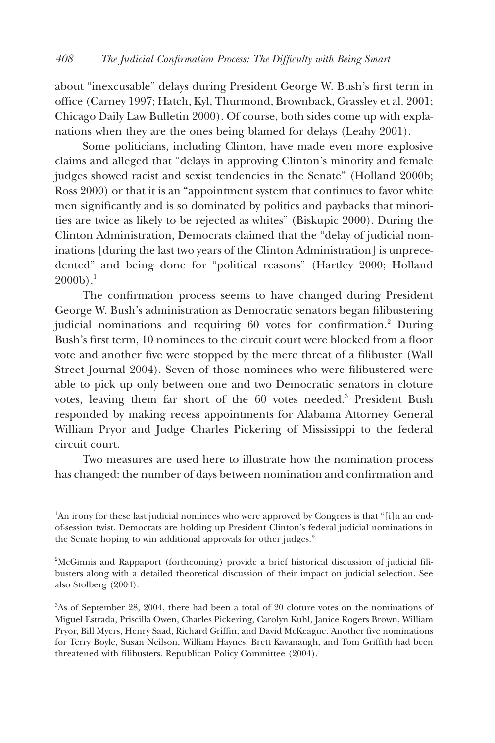about "inexcusable" delays during President George W. Bush's first term in office (Carney 1997; Hatch, Kyl, Thurmond, Brownback, Grassley et al. 2001; Chicago Daily Law Bulletin 2000). Of course, both sides come up with explanations when they are the ones being blamed for delays (Leahy 2001).

Some politicians, including Clinton, have made even more explosive claims and alleged that "delays in approving Clinton's minority and female judges showed racist and sexist tendencies in the Senate" (Holland 2000b; Ross 2000) or that it is an "appointment system that continues to favor white men significantly and is so dominated by politics and paybacks that minorities are twice as likely to be rejected as whites" (Biskupic 2000). During the Clinton Administration, Democrats claimed that the "delay of judicial nominations [during the last two years of the Clinton Administration] is unprecedented" and being done for "political reasons" (Hartley 2000; Holland  $2000<sub>b</sub>$ <sup>1</sup>

The confirmation process seems to have changed during President George W. Bush's administration as Democratic senators began filibustering judicial nominations and requiring 60 votes for confirmation.<sup>2</sup> During Bush's first term, 10 nominees to the circuit court were blocked from a floor vote and another five were stopped by the mere threat of a filibuster (Wall Street Journal 2004). Seven of those nominees who were filibustered were able to pick up only between one and two Democratic senators in cloture votes, leaving them far short of the 60 votes needed.<sup>3</sup> President Bush responded by making recess appointments for Alabama Attorney General William Pryor and Judge Charles Pickering of Mississippi to the federal circuit court.

Two measures are used here to illustrate how the nomination process has changed: the number of days between nomination and confirmation and

<sup>1</sup> An irony for these last judicial nominees who were approved by Congress is that "[i]n an endof-session twist, Democrats are holding up President Clinton's federal judicial nominations in the Senate hoping to win additional approvals for other judges."

<sup>2</sup> McGinnis and Rappaport (forthcoming) provide a brief historical discussion of judicial filibusters along with a detailed theoretical discussion of their impact on judicial selection. See also Stolberg (2004).

<sup>3</sup> As of September 28, 2004, there had been a total of 20 cloture votes on the nominations of Miguel Estrada, Priscilla Owen, Charles Pickering, Carolyn Kuhl, Janice Rogers Brown, William Pryor, Bill Myers, Henry Saad, Richard Griffin, and David McKeague. Another five nominations for Terry Boyle, Susan Neilson, William Haynes, Brett Kavanaugh, and Tom Griffith had been threatened with filibusters. Republican Policy Committee (2004).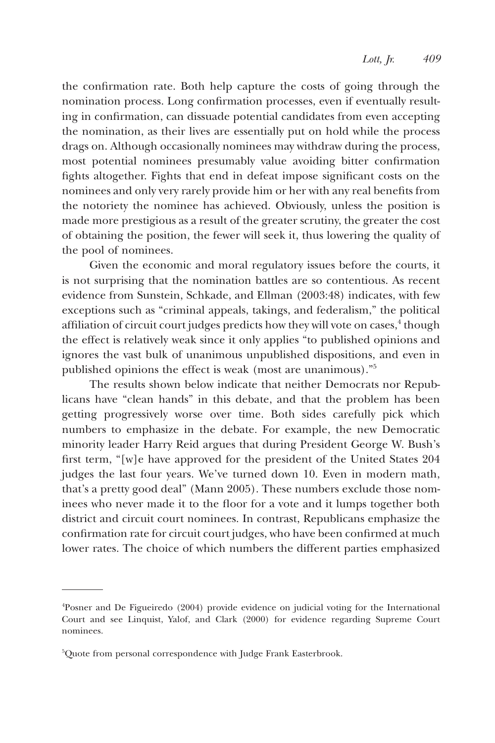the confirmation rate. Both help capture the costs of going through the nomination process. Long confirmation processes, even if eventually resulting in confirmation, can dissuade potential candidates from even accepting the nomination, as their lives are essentially put on hold while the process drags on. Although occasionally nominees may withdraw during the process, most potential nominees presumably value avoiding bitter confirmation fights altogether. Fights that end in defeat impose significant costs on the nominees and only very rarely provide him or her with any real benefits from the notoriety the nominee has achieved. Obviously, unless the position is made more prestigious as a result of the greater scrutiny, the greater the cost of obtaining the position, the fewer will seek it, thus lowering the quality of the pool of nominees.

Given the economic and moral regulatory issues before the courts, it is not surprising that the nomination battles are so contentious. As recent evidence from Sunstein, Schkade, and Ellman (2003:48) indicates, with few exceptions such as "criminal appeals, takings, and federalism," the political affiliation of circuit court judges predicts how they will vote on cases, $4$  though the effect is relatively weak since it only applies "to published opinions and ignores the vast bulk of unanimous unpublished dispositions, and even in published opinions the effect is weak (most are unanimous)."5

The results shown below indicate that neither Democrats nor Republicans have "clean hands" in this debate, and that the problem has been getting progressively worse over time. Both sides carefully pick which numbers to emphasize in the debate. For example, the new Democratic minority leader Harry Reid argues that during President George W. Bush's first term, "[w]e have approved for the president of the United States 204 judges the last four years. We've turned down 10. Even in modern math, that's a pretty good deal" (Mann 2005). These numbers exclude those nominees who never made it to the floor for a vote and it lumps together both district and circuit court nominees. In contrast, Republicans emphasize the confirmation rate for circuit court judges, who have been confirmed at much lower rates. The choice of which numbers the different parties emphasized

<sup>4</sup> Posner and De Figueiredo (2004) provide evidence on judicial voting for the International Court and see Linquist, Yalof, and Clark (2000) for evidence regarding Supreme Court nominees.

<sup>5</sup> Quote from personal correspondence with Judge Frank Easterbrook.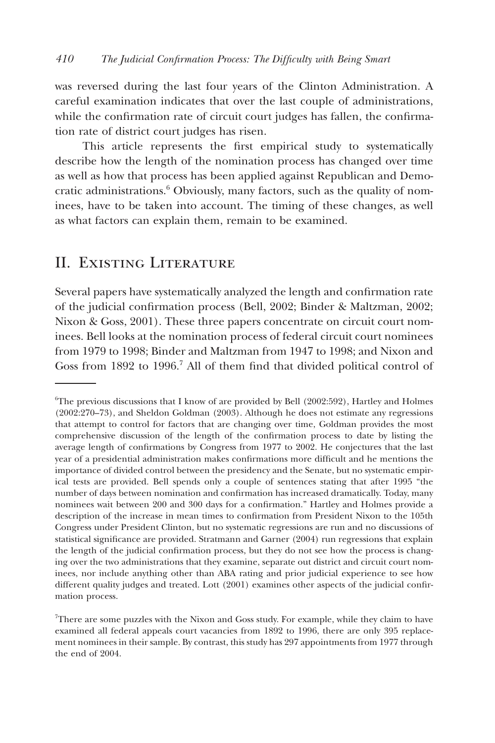was reversed during the last four years of the Clinton Administration. A careful examination indicates that over the last couple of administrations, while the confirmation rate of circuit court judges has fallen, the confirmation rate of district court judges has risen.

This article represents the first empirical study to systematically describe how the length of the nomination process has changed over time as well as how that process has been applied against Republican and Democratic administrations.<sup>6</sup> Obviously, many factors, such as the quality of nominees, have to be taken into account. The timing of these changes, as well as what factors can explain them, remain to be examined.

## II. Existing Literature

Several papers have systematically analyzed the length and confirmation rate of the judicial confirmation process (Bell, 2002; Binder & Maltzman, 2002; Nixon & Goss, 2001). These three papers concentrate on circuit court nominees. Bell looks at the nomination process of federal circuit court nominees from 1979 to 1998; Binder and Maltzman from 1947 to 1998; and Nixon and Goss from 1892 to 1996.<sup>7</sup> All of them find that divided political control of

<sup>6</sup> The previous discussions that I know of are provided by Bell (2002:592), Hartley and Holmes (2002:270–73), and Sheldon Goldman (2003). Although he does not estimate any regressions that attempt to control for factors that are changing over time, Goldman provides the most comprehensive discussion of the length of the confirmation process to date by listing the average length of confirmations by Congress from 1977 to 2002. He conjectures that the last year of a presidential administration makes confirmations more difficult and he mentions the importance of divided control between the presidency and the Senate, but no systematic empirical tests are provided. Bell spends only a couple of sentences stating that after 1995 "the number of days between nomination and confirmation has increased dramatically. Today, many nominees wait between 200 and 300 days for a confirmation." Hartley and Holmes provide a description of the increase in mean times to confirmation from President Nixon to the 105th Congress under President Clinton, but no systematic regressions are run and no discussions of statistical significance are provided. Stratmann and Garner (2004) run regressions that explain the length of the judicial confirmation process, but they do not see how the process is changing over the two administrations that they examine, separate out district and circuit court nominees, nor include anything other than ABA rating and prior judicial experience to see how different quality judges and treated. Lott (2001) examines other aspects of the judicial confirmation process.

<sup>7</sup> There are some puzzles with the Nixon and Goss study. For example, while they claim to have examined all federal appeals court vacancies from 1892 to 1996, there are only 395 replacement nominees in their sample. By contrast, this study has 297 appointments from 1977 through the end of 2004.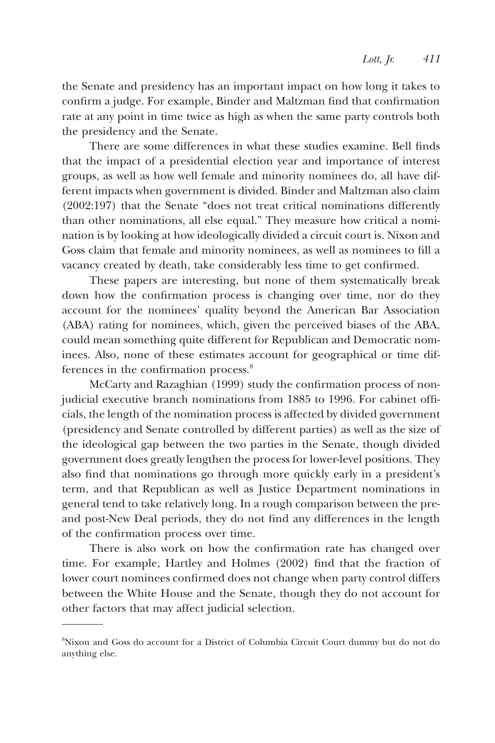the Senate and presidency has an important impact on how long it takes to confirm a judge. For example, Binder and Maltzman find that confirmation rate at any point in time twice as high as when the same party controls both the presidency and the Senate.

There are some differences in what these studies examine. Bell finds that the impact of a presidential election year and importance of interest groups, as well as how well female and minority nominees do, all have different impacts when government is divided. Binder and Maltzman also claim (2002:197) that the Senate "does not treat critical nominations differently than other nominations, all else equal." They measure how critical a nomination is by looking at how ideologically divided a circuit court is. Nixon and Goss claim that female and minority nominees, as well as nominees to fill a vacancy created by death, take considerably less time to get confirmed.

These papers are interesting, but none of them systematically break down how the confirmation process is changing over time, nor do they account for the nominees' quality beyond the American Bar Association (ABA) rating for nominees, which, given the perceived biases of the ABA, could mean something quite different for Republican and Democratic nominees. Also, none of these estimates account for geographical or time differences in the confirmation process.<sup>8</sup>

McCarty and Razaghian (1999) study the confirmation process of nonjudicial executive branch nominations from 1885 to 1996. For cabinet officials, the length of the nomination process is affected by divided government (presidency and Senate controlled by different parties) as well as the size of the ideological gap between the two parties in the Senate, though divided government does greatly lengthen the process for lower-level positions. They also find that nominations go through more quickly early in a president's term, and that Republican as well as Justice Department nominations in general tend to take relatively long. In a rough comparison between the preand post-New Deal periods, they do not find any differences in the length of the confirmation process over time.

There is also work on how the confirmation rate has changed over time. For example, Hartley and Holmes (2002) find that the fraction of lower court nominees confirmed does not change when party control differs between the White House and the Senate, though they do not account for other factors that may affect judicial selection.

<sup>8</sup> Nixon and Goss do account for a District of Columbia Circuit Court dummy but do not do anything else.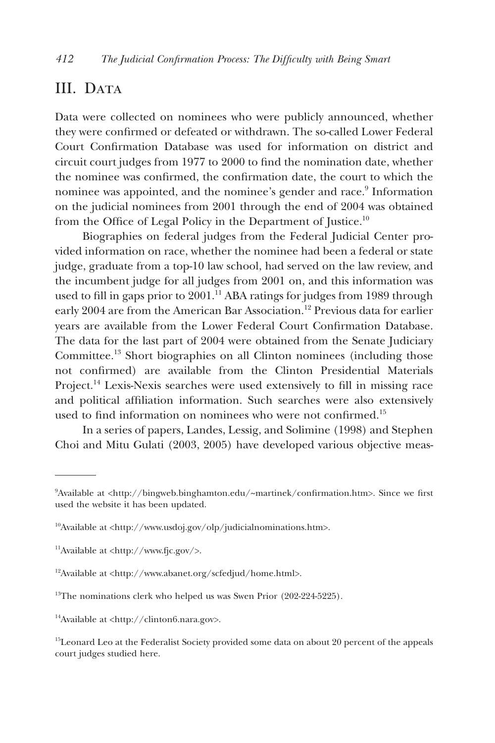## III. DATA

Data were collected on nominees who were publicly announced, whether they were confirmed or defeated or withdrawn. The so-called Lower Federal Court Confirmation Database was used for information on district and circuit court judges from 1977 to 2000 to find the nomination date, whether the nominee was confirmed, the confirmation date, the court to which the nominee was appointed, and the nominee's gender and race.<sup>9</sup> Information on the judicial nominees from 2001 through the end of 2004 was obtained from the Office of Legal Policy in the Department of Justice.<sup>10</sup>

Biographies on federal judges from the Federal Judicial Center provided information on race, whether the nominee had been a federal or state judge, graduate from a top-10 law school, had served on the law review, and the incumbent judge for all judges from 2001 on, and this information was used to fill in gaps prior to  $2001$ .<sup>11</sup> ABA ratings for judges from 1989 through early 2004 are from the American Bar Association.<sup>12</sup> Previous data for earlier years are available from the Lower Federal Court Confirmation Database. The data for the last part of 2004 were obtained from the Senate Judiciary Committee.<sup>13</sup> Short biographies on all Clinton nominees (including those not confirmed) are available from the Clinton Presidential Materials Project.<sup>14</sup> Lexis-Nexis searches were used extensively to fill in missing race and political affiliation information. Such searches were also extensively used to find information on nominees who were not confirmed.<sup>15</sup>

In a series of papers, Landes, Lessig, and Solimine (1998) and Stephen Choi and Mitu Gulati (2003, 2005) have developed various objective meas-

14Available at <[http://clinton6.nara.gov>.](http://clinton6.nara.gov)

<sup>9</sup> Available at [<http://bingweb.binghamton.edu/~martinek/confirmation.htm](http://bingweb.binghamton.edu/~martinek/confirmation.htm)>. Since we first used the website it has been updated.

 $10$ Available at <[http://www.usdoj.gov/olp/judicialnominations.htm>.](http://www.usdoj.gov/olp/judicialnominations.htm)

 $11$ Available at <[http://www.fjc.gov/>.](http://www.fjc.gov)

<sup>12</sup>Available at <[http://www.abanet.org/scfedjud/home.html>.](http://www.abanet.org/scfedjud/home.html)

 $13$ The nominations clerk who helped us was Swen Prior (202-224-5225).

<sup>&</sup>lt;sup>15</sup>Leonard Leo at the Federalist Society provided some data on about 20 percent of the appeals court judges studied here.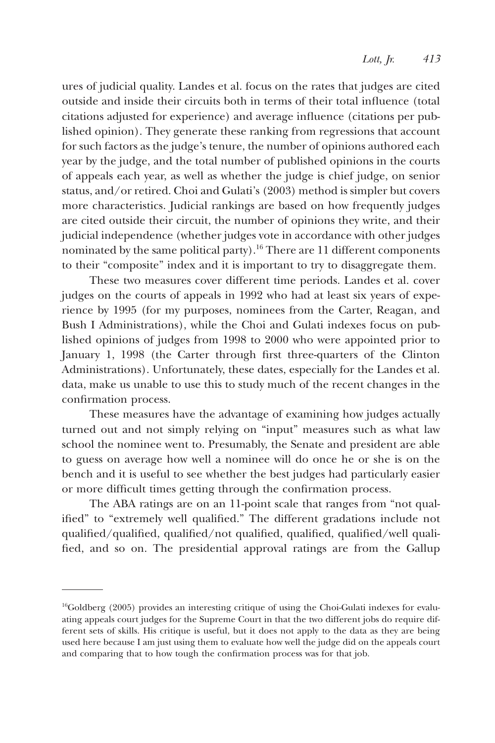ures of judicial quality. Landes et al. focus on the rates that judges are cited outside and inside their circuits both in terms of their total influence (total citations adjusted for experience) and average influence (citations per published opinion). They generate these ranking from regressions that account for such factors as the judge's tenure, the number of opinions authored each year by the judge, and the total number of published opinions in the courts of appeals each year, as well as whether the judge is chief judge, on senior status, and/or retired. Choi and Gulati's (2003) method is simpler but covers more characteristics. Judicial rankings are based on how frequently judges are cited outside their circuit, the number of opinions they write, and their judicial independence (whether judges vote in accordance with other judges nominated by the same political party).<sup>16</sup> There are 11 different components to their "composite" index and it is important to try to disaggregate them.

These two measures cover different time periods. Landes et al. cover judges on the courts of appeals in 1992 who had at least six years of experience by 1995 (for my purposes, nominees from the Carter, Reagan, and Bush I Administrations), while the Choi and Gulati indexes focus on published opinions of judges from 1998 to 2000 who were appointed prior to January 1, 1998 (the Carter through first three-quarters of the Clinton Administrations). Unfortunately, these dates, especially for the Landes et al. data, make us unable to use this to study much of the recent changes in the confirmation process.

These measures have the advantage of examining how judges actually turned out and not simply relying on "input" measures such as what law school the nominee went to. Presumably, the Senate and president are able to guess on average how well a nominee will do once he or she is on the bench and it is useful to see whether the best judges had particularly easier or more difficult times getting through the confirmation process.

The ABA ratings are on an 11-point scale that ranges from "not qualified" to "extremely well qualified." The different gradations include not qualified/qualified, qualified/not qualified, qualified, qualified/well qualified, and so on. The presidential approval ratings are from the Gallup

 $<sup>16</sup>$ Goldberg (2005) provides an interesting critique of using the Choi-Gulati indexes for evalu-</sup> ating appeals court judges for the Supreme Court in that the two different jobs do require different sets of skills. His critique is useful, but it does not apply to the data as they are being used here because I am just using them to evaluate how well the judge did on the appeals court and comparing that to how tough the confirmation process was for that job.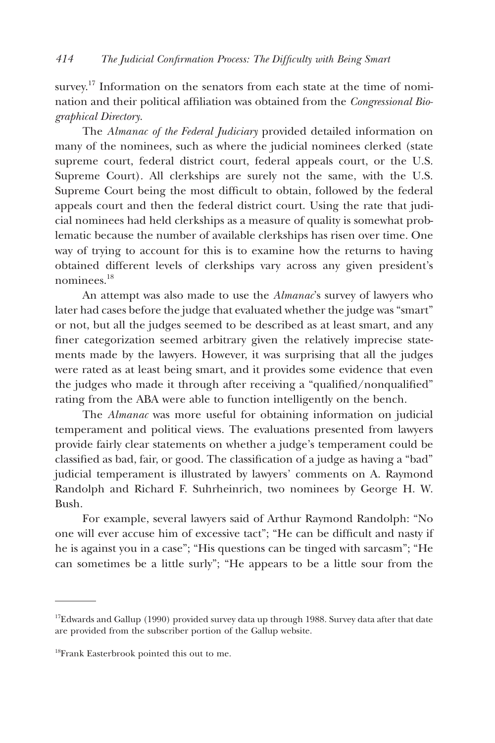survey.<sup>17</sup> Information on the senators from each state at the time of nomination and their political affiliation was obtained from the *Congressional Biographical Directory*.

The *Almanac of the Federal Judiciary* provided detailed information on many of the nominees, such as where the judicial nominees clerked (state supreme court, federal district court, federal appeals court, or the U.S. Supreme Court). All clerkships are surely not the same, with the U.S. Supreme Court being the most difficult to obtain, followed by the federal appeals court and then the federal district court. Using the rate that judicial nominees had held clerkships as a measure of quality is somewhat problematic because the number of available clerkships has risen over time. One way of trying to account for this is to examine how the returns to having obtained different levels of clerkships vary across any given president's nominees.<sup>18</sup>

An attempt was also made to use the *Almanac*'s survey of lawyers who later had cases before the judge that evaluated whether the judge was "smart" or not, but all the judges seemed to be described as at least smart, and any finer categorization seemed arbitrary given the relatively imprecise statements made by the lawyers. However, it was surprising that all the judges were rated as at least being smart, and it provides some evidence that even the judges who made it through after receiving a "qualified/nonqualified" rating from the ABA were able to function intelligently on the bench.

The *Almanac* was more useful for obtaining information on judicial temperament and political views. The evaluations presented from lawyers provide fairly clear statements on whether a judge's temperament could be classified as bad, fair, or good. The classification of a judge as having a "bad" judicial temperament is illustrated by lawyers' comments on A. Raymond Randolph and Richard F. Suhrheinrich, two nominees by George H. W. Bush.

For example, several lawyers said of Arthur Raymond Randolph: "No one will ever accuse him of excessive tact"; "He can be difficult and nasty if he is against you in a case"; "His questions can be tinged with sarcasm"; "He can sometimes be a little surly"; "He appears to be a little sour from the

<sup>&</sup>lt;sup>17</sup>Edwards and Gallup (1990) provided survey data up through 1988. Survey data after that date are provided from the subscriber portion of the Gallup website.

<sup>&</sup>lt;sup>18</sup>Frank Easterbrook pointed this out to me.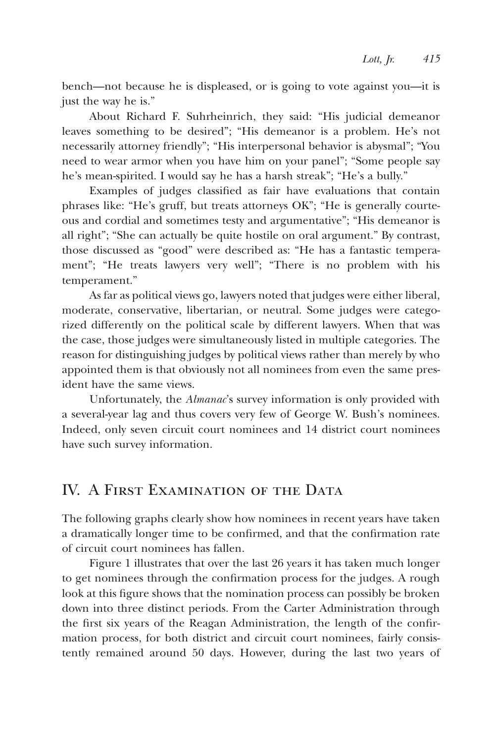bench—not because he is displeased, or is going to vote against you—it is just the way he is."

About Richard F. Suhrheinrich, they said: "His judicial demeanor leaves something to be desired"; "His demeanor is a problem. He's not necessarily attorney friendly"; "His interpersonal behavior is abysmal"; "You need to wear armor when you have him on your panel"; "Some people say he's mean-spirited. I would say he has a harsh streak"; "He's a bully."

Examples of judges classified as fair have evaluations that contain phrases like: "He's gruff, but treats attorneys OK"; "He is generally courteous and cordial and sometimes testy and argumentative"; "His demeanor is all right"; "She can actually be quite hostile on oral argument." By contrast, those discussed as "good" were described as: "He has a fantastic temperament"; "He treats lawyers very well"; "There is no problem with his temperament."

As far as political views go, lawyers noted that judges were either liberal, moderate, conservative, libertarian, or neutral. Some judges were categorized differently on the political scale by different lawyers. When that was the case, those judges were simultaneously listed in multiple categories. The reason for distinguishing judges by political views rather than merely by who appointed them is that obviously not all nominees from even the same president have the same views.

Unfortunately, the *Almanac*'s survey information is only provided with a several-year lag and thus covers very few of George W. Bush's nominees. Indeed, only seven circuit court nominees and 14 district court nominees have such survey information.

## IV. A FIRST EXAMINATION OF THE DATA

The following graphs clearly show how nominees in recent years have taken a dramatically longer time to be confirmed, and that the confirmation rate of circuit court nominees has fallen.

Figure 1 illustrates that over the last 26 years it has taken much longer to get nominees through the confirmation process for the judges. A rough look at this figure shows that the nomination process can possibly be broken down into three distinct periods. From the Carter Administration through the first six years of the Reagan Administration, the length of the confirmation process, for both district and circuit court nominees, fairly consistently remained around 50 days. However, during the last two years of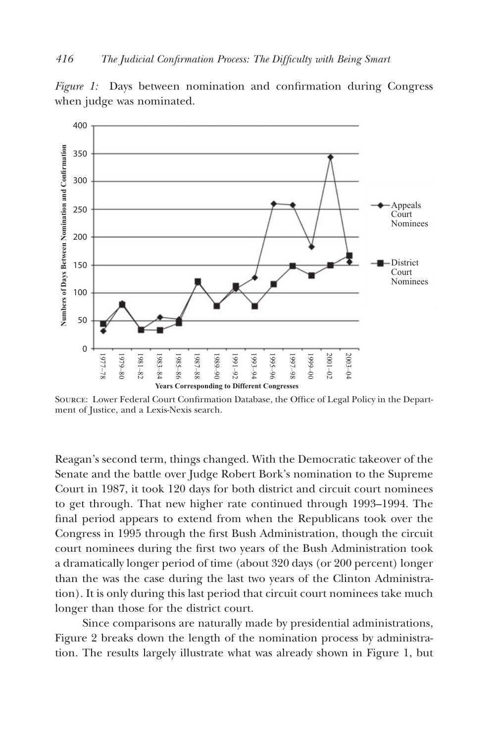

*Figure 1:* Days between nomination and confirmation during Congress when judge was nominated.

Source: Lower Federal Court Confirmation Database, the Office of Legal Policy in the Department of Justice, and a Lexis-Nexis search.

Reagan's second term, things changed. With the Democratic takeover of the Senate and the battle over Judge Robert Bork's nomination to the Supreme Court in 1987, it took 120 days for both district and circuit court nominees to get through. That new higher rate continued through 1993–1994. The final period appears to extend from when the Republicans took over the Congress in 1995 through the first Bush Administration, though the circuit court nominees during the first two years of the Bush Administration took a dramatically longer period of time (about 320 days (or 200 percent) longer than the was the case during the last two years of the Clinton Administration). It is only during this last period that circuit court nominees take much longer than those for the district court.

Since comparisons are naturally made by presidential administrations, Figure 2 breaks down the length of the nomination process by administration. The results largely illustrate what was already shown in Figure 1, but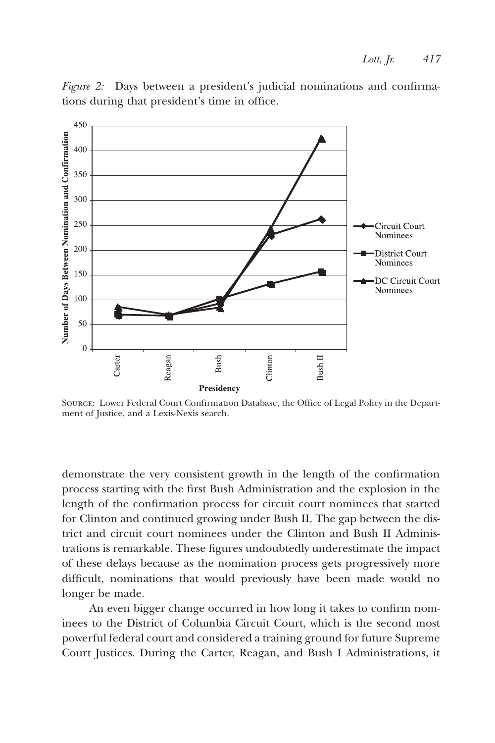

*Figure 2:* Days between a president's judicial nominations and confirmations during that president's time in office.

Source: Lower Federal Court Confirmation Database, the Office of Legal Policy in the Department of Justice, and a Lexis-Nexis search.

demonstrate the very consistent growth in the length of the confirmation process starting with the first Bush Administration and the explosion in the length of the confirmation process for circuit court nominees that started for Clinton and continued growing under Bush II. The gap between the district and circuit court nominees under the Clinton and Bush II Administrations is remarkable. These figures undoubtedly underestimate the impact of these delays because as the nomination process gets progressively more difficult, nominations that would previously have been made would no longer be made.

An even bigger change occurred in how long it takes to confirm nominees to the District of Columbia Circuit Court, which is the second most powerful federal court and considered a training ground for future Supreme Court Justices. During the Carter, Reagan, and Bush I Administrations, it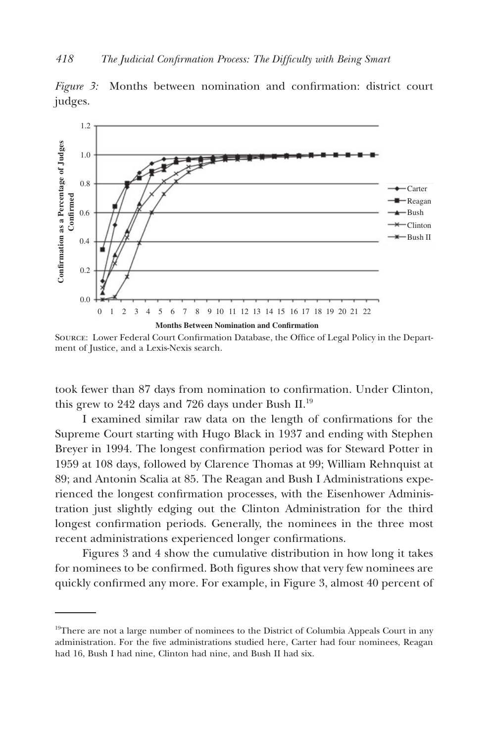*Figure 3:* Months between nomination and confirmation: district court judges.



Source: Lower Federal Court Confirmation Database, the Office of Legal Policy in the Department of Justice, and a Lexis-Nexis search.

took fewer than 87 days from nomination to confirmation. Under Clinton, this grew to 242 days and 726 days under Bush II.<sup>19</sup>

I examined similar raw data on the length of confirmations for the Supreme Court starting with Hugo Black in 1937 and ending with Stephen Breyer in 1994. The longest confirmation period was for Steward Potter in 1959 at 108 days, followed by Clarence Thomas at 99; William Rehnquist at 89; and Antonin Scalia at 85. The Reagan and Bush I Administrations experienced the longest confirmation processes, with the Eisenhower Administration just slightly edging out the Clinton Administration for the third longest confirmation periods. Generally, the nominees in the three most recent administrations experienced longer confirmations.

Figures 3 and 4 show the cumulative distribution in how long it takes for nominees to be confirmed. Both figures show that very few nominees are quickly confirmed any more. For example, in Figure 3, almost 40 percent of

<sup>&</sup>lt;sup>19</sup>There are not a large number of nominees to the District of Columbia Appeals Court in any administration. For the five administrations studied here, Carter had four nominees, Reagan had 16, Bush I had nine, Clinton had nine, and Bush II had six.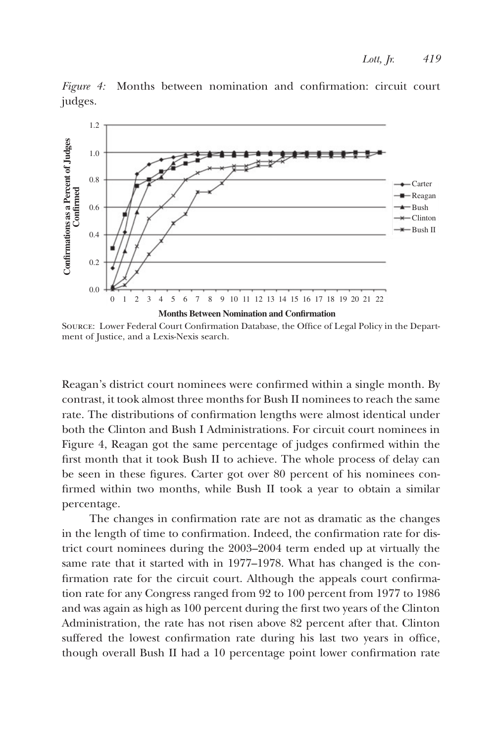

*Figure 4:* Months between nomination and confirmation: circuit court judges.

Source: Lower Federal Court Confirmation Database, the Office of Legal Policy in the Department of Justice, and a Lexis-Nexis search.

Reagan's district court nominees were confirmed within a single month. By contrast, it took almost three months for Bush II nominees to reach the same rate. The distributions of confirmation lengths were almost identical under both the Clinton and Bush I Administrations. For circuit court nominees in Figure 4, Reagan got the same percentage of judges confirmed within the first month that it took Bush II to achieve. The whole process of delay can be seen in these figures. Carter got over 80 percent of his nominees confirmed within two months, while Bush II took a year to obtain a similar percentage.

The changes in confirmation rate are not as dramatic as the changes in the length of time to confirmation. Indeed, the confirmation rate for district court nominees during the 2003–2004 term ended up at virtually the same rate that it started with in 1977–1978. What has changed is the confirmation rate for the circuit court. Although the appeals court confirmation rate for any Congress ranged from 92 to 100 percent from 1977 to 1986 and was again as high as 100 percent during the first two years of the Clinton Administration, the rate has not risen above 82 percent after that. Clinton suffered the lowest confirmation rate during his last two years in office, though overall Bush II had a 10 percentage point lower confirmation rate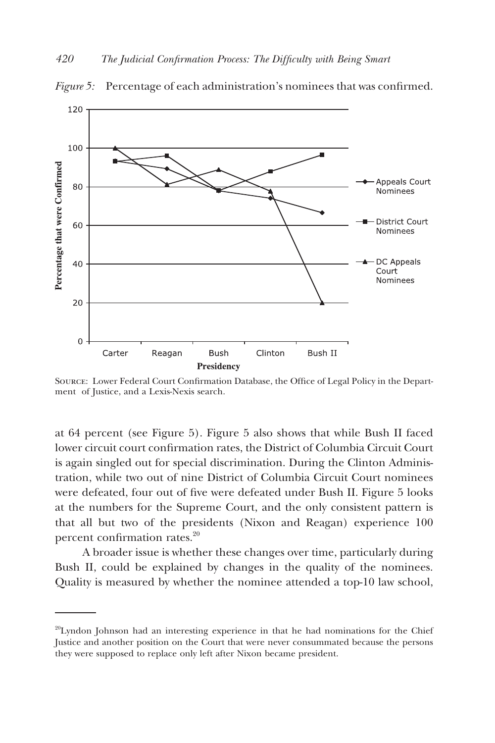

*Figure 5:* Percentage of each administration's nominees that was confirmed.

Source: Lower Federal Court Confirmation Database, the Office of Legal Policy in the Department of Justice, and a Lexis-Nexis search.

at 64 percent (see Figure 5). Figure 5 also shows that while Bush II faced lower circuit court confirmation rates, the District of Columbia Circuit Court is again singled out for special discrimination. During the Clinton Administration, while two out of nine District of Columbia Circuit Court nominees were defeated, four out of five were defeated under Bush II. Figure 5 looks at the numbers for the Supreme Court, and the only consistent pattern is that all but two of the presidents (Nixon and Reagan) experience 100 percent confirmation rates.<sup>20</sup>

A broader issue is whether these changes over time, particularly during Bush II, could be explained by changes in the quality of the nominees. Quality is measured by whether the nominee attended a top-10 law school,

<sup>&</sup>lt;sup>20</sup>Lyndon Johnson had an interesting experience in that he had nominations for the Chief Justice and another position on the Court that were never consummated because the persons they were supposed to replace only left after Nixon became president.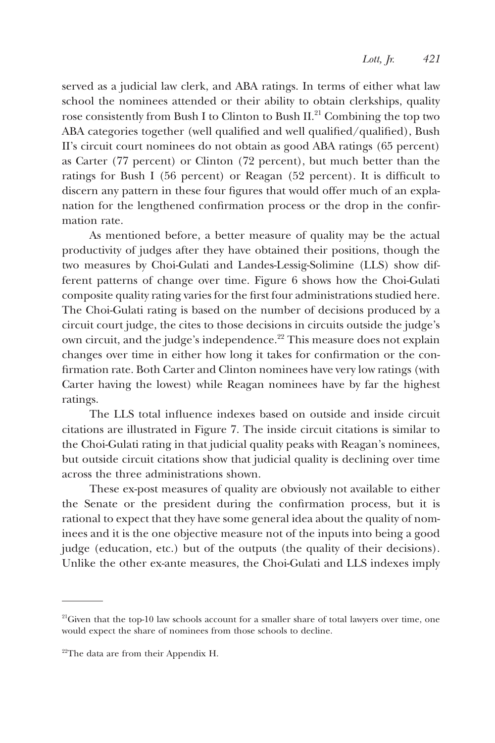served as a judicial law clerk, and ABA ratings. In terms of either what law school the nominees attended or their ability to obtain clerkships, quality rose consistently from Bush I to Clinton to Bush  $II^{21}$  Combining the top two ABA categories together (well qualified and well qualified/qualified), Bush II's circuit court nominees do not obtain as good ABA ratings (65 percent) as Carter (77 percent) or Clinton (72 percent), but much better than the ratings for Bush I (56 percent) or Reagan (52 percent). It is difficult to discern any pattern in these four figures that would offer much of an explanation for the lengthened confirmation process or the drop in the confirmation rate.

As mentioned before, a better measure of quality may be the actual productivity of judges after they have obtained their positions, though the two measures by Choi-Gulati and Landes-Lessig-Solimine (LLS) show different patterns of change over time. Figure 6 shows how the Choi-Gulati composite quality rating varies for the first four administrations studied here. The Choi-Gulati rating is based on the number of decisions produced by a circuit court judge, the cites to those decisions in circuits outside the judge's own circuit, and the judge's independence.<sup>22</sup> This measure does not explain changes over time in either how long it takes for confirmation or the confirmation rate. Both Carter and Clinton nominees have very low ratings (with Carter having the lowest) while Reagan nominees have by far the highest ratings.

The LLS total influence indexes based on outside and inside circuit citations are illustrated in Figure 7. The inside circuit citations is similar to the Choi-Gulati rating in that judicial quality peaks with Reagan's nominees, but outside circuit citations show that judicial quality is declining over time across the three administrations shown.

These ex-post measures of quality are obviously not available to either the Senate or the president during the confirmation process, but it is rational to expect that they have some general idea about the quality of nominees and it is the one objective measure not of the inputs into being a good judge (education, etc.) but of the outputs (the quality of their decisions). Unlike the other ex-ante measures, the Choi-Gulati and LLS indexes imply

 $21$ Given that the top-10 law schools account for a smaller share of total lawyers over time, one would expect the share of nominees from those schools to decline.

 $^{22}$ The data are from their Appendix H.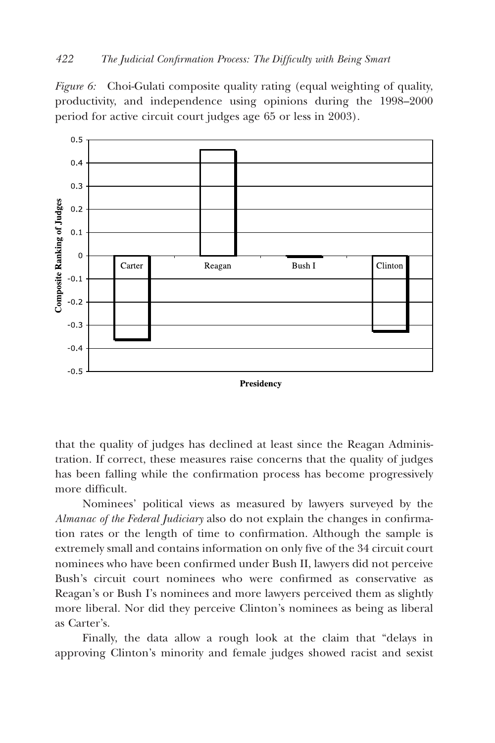*Figure 6:* Choi-Gulati composite quality rating (equal weighting of quality, productivity, and independence using opinions during the 1998–2000 period for active circuit court judges age 65 or less in 2003).



that the quality of judges has declined at least since the Reagan Administration. If correct, these measures raise concerns that the quality of judges has been falling while the confirmation process has become progressively more difficult.

Nominees' political views as measured by lawyers surveyed by the *Almanac of the Federal Judiciary* also do not explain the changes in confirmation rates or the length of time to confirmation. Although the sample is extremely small and contains information on only five of the 34 circuit court nominees who have been confirmed under Bush II, lawyers did not perceive Bush's circuit court nominees who were confirmed as conservative as Reagan's or Bush I's nominees and more lawyers perceived them as slightly more liberal. Nor did they perceive Clinton's nominees as being as liberal as Carter's.

Finally, the data allow a rough look at the claim that "delays in approving Clinton's minority and female judges showed racist and sexist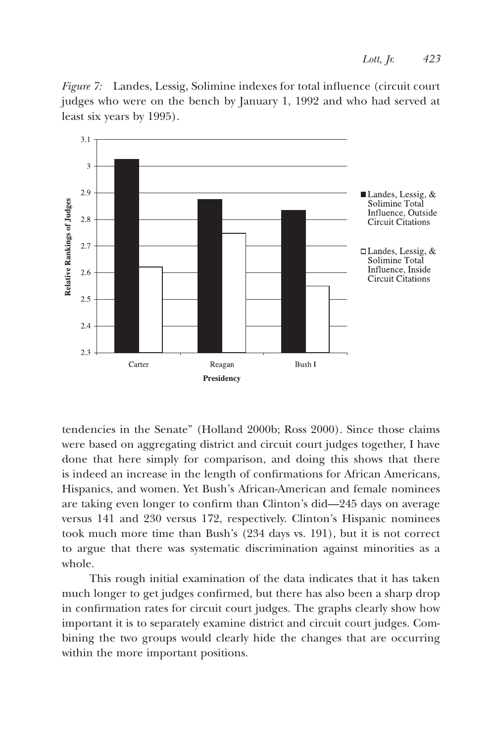*Figure 7:* Landes, Lessig, Solimine indexes for total influence (circuit court judges who were on the bench by January 1, 1992 and who had served at least six years by 1995).



tendencies in the Senate" (Holland 2000b; Ross 2000). Since those claims were based on aggregating district and circuit court judges together, I have done that here simply for comparison, and doing this shows that there is indeed an increase in the length of confirmations for African Americans, Hispanics, and women. Yet Bush's African-American and female nominees are taking even longer to confirm than Clinton's did—245 days on average versus 141 and 230 versus 172, respectively. Clinton's Hispanic nominees took much more time than Bush's (234 days vs. 191), but it is not correct to argue that there was systematic discrimination against minorities as a whole.

This rough initial examination of the data indicates that it has taken much longer to get judges confirmed, but there has also been a sharp drop in confirmation rates for circuit court judges. The graphs clearly show how important it is to separately examine district and circuit court judges. Combining the two groups would clearly hide the changes that are occurring within the more important positions.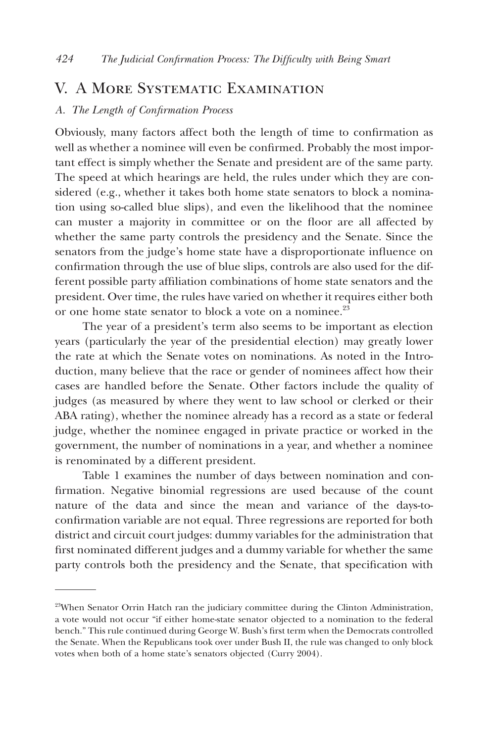## V. A More Systematic Examination

#### *A. The Length of Confirmation Process*

Obviously, many factors affect both the length of time to confirmation as well as whether a nominee will even be confirmed. Probably the most important effect is simply whether the Senate and president are of the same party. The speed at which hearings are held, the rules under which they are considered (e.g., whether it takes both home state senators to block a nomination using so-called blue slips), and even the likelihood that the nominee can muster a majority in committee or on the floor are all affected by whether the same party controls the presidency and the Senate. Since the senators from the judge's home state have a disproportionate influence on confirmation through the use of blue slips, controls are also used for the different possible party affiliation combinations of home state senators and the president. Over time, the rules have varied on whether it requires either both or one home state senator to block a vote on a nominee.<sup>23</sup>

The year of a president's term also seems to be important as election years (particularly the year of the presidential election) may greatly lower the rate at which the Senate votes on nominations. As noted in the Introduction, many believe that the race or gender of nominees affect how their cases are handled before the Senate. Other factors include the quality of judges (as measured by where they went to law school or clerked or their ABA rating), whether the nominee already has a record as a state or federal judge, whether the nominee engaged in private practice or worked in the government, the number of nominations in a year, and whether a nominee is renominated by a different president.

Table 1 examines the number of days between nomination and confirmation. Negative binomial regressions are used because of the count nature of the data and since the mean and variance of the days-toconfirmation variable are not equal. Three regressions are reported for both district and circuit court judges: dummy variables for the administration that first nominated different judges and a dummy variable for whether the same party controls both the presidency and the Senate, that specification with

 $2<sup>23</sup>$ When Senator Orrin Hatch ran the judiciary committee during the Clinton Administration, a vote would not occur "if either home-state senator objected to a nomination to the federal bench." This rule continued during George W. Bush's first term when the Democrats controlled the Senate. When the Republicans took over under Bush II, the rule was changed to only block votes when both of a home state's senators objected (Curry 2004).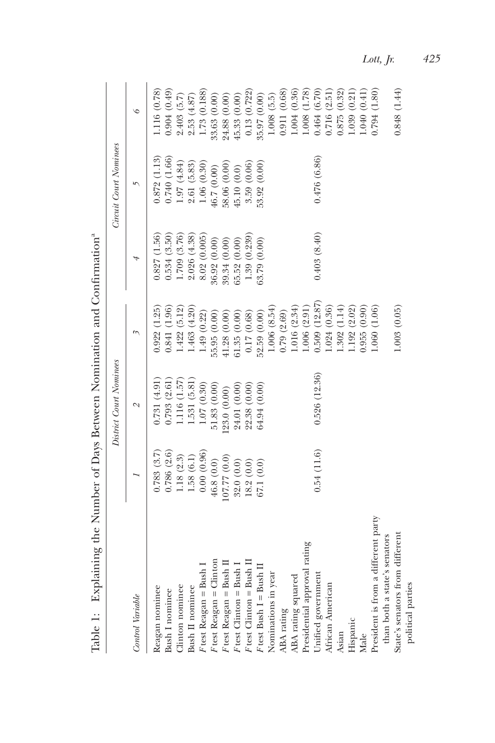|                                     |                         | District Court Nominees |                |                  | Circuit Court Nominees |                   |
|-------------------------------------|-------------------------|-------------------------|----------------|------------------|------------------------|-------------------|
| Control Variable                    |                         | $\mathcal{Q}$           |                |                  | $\sim$                 | 6                 |
| Reagan nominee                      | 0.783(3.7)              | 0.731(4.91)             | 0.922(1.25)    | 0.827(1.56)      | 0.872(1.13)            | 1.116(0.78)       |
| Bush I nominee                      | 0.786(2.6)              | 0.793(2.61)             | 0.841 (1.96)   | 0.534(3.50)      | 0.740 (1.66)           | 0.904(0.49)       |
| Clinton nominee                     | 1.18(2.3)               | 1.116(1.57)             | 1.422(5.12)    | $1.709$ $(3.76)$ | 1.97(4.84)             | 2.403 (5.7)       |
| Bush II nominee                     | 1.58(6.1)               | 1.531 (5.81)            | 1.463(4.20)    | 2.026(4.38)      | 2.61(5.83)             | 2.53(4.87)        |
| F test Reagan = Bush 1              | 0.00(0.96)              | 1.07(0.30)              | 1.49(0.22)     | 8.02 (0.005)     | 1.06(0.30)             | 1.73 (0.188)      |
| $F$ test Reagan = Clinton           | 46.8 (0.0)              | 51.83 (0.00)            | 55.95 (0.00)   | 36.92 (0.00)     | 46.7 (0.00)            | (0.00)<br>33.63 ( |
| F test Reagan = Bush II             | $(0.0)$ $77.77$ $(0.0)$ | 23.0 (0.00)             | $(0.00)$ 8.1.1 | 39.34 (0.00)     | 58.06 (0.00)           | 24.88 (0.00)      |
| $F$ test Clinton = Bush I           | 32.0 (0.0)              | 24.01 (0.00)            | 51.35(0.00)    | 65.52 (0.00)     | 45.10 (0.0)            | E.33(0.00)        |
| $F$ test Clinton = Bush II          | 18.2(0.0)               | 22.38(0.00)             | 0.17(0.68)     | 1.39 (0.239)     | 3.59 (0.06)            | 0.13(0.722)       |
| $F$ test Bush $I =$ Bush II         | 67.1(0.0)               | 64.94 (0.00)            | 52.59(0.00)    | 63.79 (0.00)     | 63.92(0.00)            | 85.97 (0.00)      |
| Nominations in year                 |                         |                         | 1.006(8.54)    |                  |                        | 1.008(5.5)        |
| ABA rating                          |                         |                         | 0.79(2.69)     |                  |                        | 0.911(0.68)       |
| ABA rating squared                  |                         |                         | 1.016(2.34)    |                  |                        | 1.004(0.36)       |
| Presidential approval rating        |                         |                         | 1.006(2.91)    |                  |                        | (.008(1.78))      |
| Unified government                  | 0.54(11.6)              | 0.526(12.36)            | 0.509 (12.87)  | 0.403(8.40)      | 0.476 (6.86)           | 0.464(6.70)       |
| African American                    |                         |                         | .024(0.36)     |                  |                        | 0.716(2.51)       |
| Asian                               |                         |                         | .302(1.14)     |                  |                        | 0.875(0.32)       |
| Hispanic                            |                         |                         | .192(2.02)     |                  |                        | .039(0.21)        |
| Male                                |                         |                         | 0.955(0.90)    |                  |                        | .040(0.41)        |
| President is from a different party |                         |                         | .060(1.06)     |                  |                        | 0.794(1.80)       |
| than both a state's senators        |                         |                         |                |                  |                        |                   |
| State's senators from different     |                         |                         | 1.003(0.05)    |                  |                        | 0.848(1.44)       |
| political parties                   |                         |                         |                |                  |                        |                   |

Table 1: Explaining the Number of Days Between Nomination and Confirmation<sup>a</sup> Table 1: Explaining the Number of Days Between Nomination and Confirmationa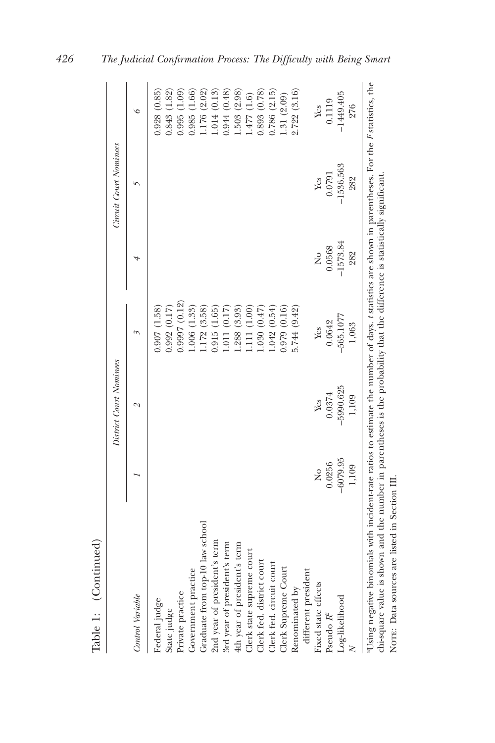|                                 |            | District Court Nominees  |                |               | Circuit Court Nominees |              |
|---------------------------------|------------|--------------------------|----------------|---------------|------------------------|--------------|
| Control Variable                |            | $\overline{\mathcal{C}}$ |                |               | Ψ                      | $\circ$      |
| Federal judge                   |            |                          | 0.907(1.58)    |               |                        | 0.928 (0.85) |
| State judge                     |            |                          | 0.992(0.17)    |               |                        | 0.843(1.82)  |
| Private practice                |            |                          | 0.9997 (0.12)  |               |                        | 0.995(1.09)  |
| Government practice             |            |                          | .006(1.33)     |               |                        | 0.985(1.66)  |
| Graduate from top-10 law school |            |                          | .172(3.58)     |               |                        | 1.176(2.02)  |
| 2nd year of president's term    |            |                          | 0.915(1.65)    |               |                        | 1.014(0.13)  |
| 3rd year of president's term    |            |                          | 1.011(0.17)    |               |                        | 0.944(0.48)  |
| 4th year of president's term    |            |                          | .288(3.93)     |               |                        | 1.503(2.98)  |
| Clerk state supreme court       |            |                          | (1.00) 111.111 |               |                        | 1.477 (1.6)  |
| Clerk fed. district court       |            |                          | .030(0.47)     |               |                        | 0.893 (0.78) |
| Clerk fed. circuit court        |            |                          | 1.042(0.54)    |               |                        | 0.786(2.15)  |
| Clerk Supreme Court             |            |                          | 0.979(0.16)    |               |                        | 1.31(2.09)   |
| Renominated by                  |            |                          | 5.744 (9.42)   |               |                        | 2.722(3.16)  |
| different president             |            |                          |                |               |                        |              |
| Fixed state effects             | Σò         | Yes                      | Yes            | $\frac{1}{2}$ | Yes                    | Yes          |
| Pseudo $R^2$                    | 0.0256     | 0.0374                   | 0.0642         | 0.0568        | 0.0791                 | 0.1119       |
| Log-likelihood                  | $-6079.95$ | $-5990.625$              | $-565.1077$    | $-1573.84$    | $-1536.563$            | $-1449.405$  |
|                                 | 1,109      | 1,109                    | 1,063          | 282           | 282                    | 276          |

Note: Data sources are listed in Section III.

NOTE: Data sources are listed in Section III.

*426 The Judicial Confirmation Process: The Difficulty with Being Smart*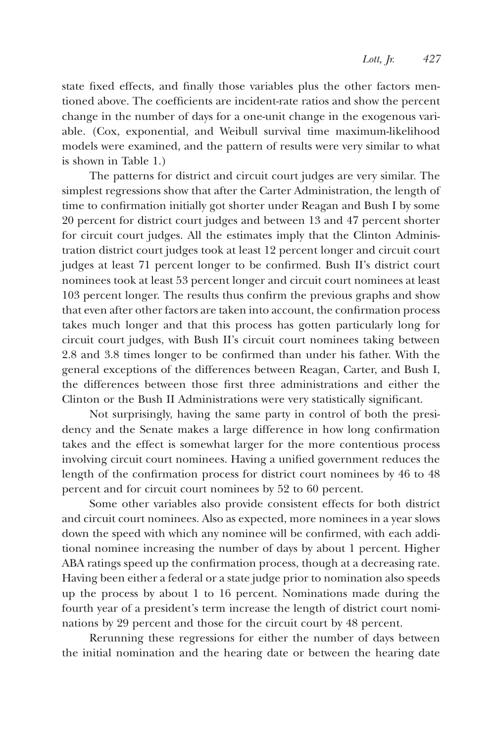state fixed effects, and finally those variables plus the other factors mentioned above. The coefficients are incident-rate ratios and show the percent change in the number of days for a one-unit change in the exogenous variable. (Cox, exponential, and Weibull survival time maximum-likelihood models were examined, and the pattern of results were very similar to what is shown in Table 1.)

The patterns for district and circuit court judges are very similar. The simplest regressions show that after the Carter Administration, the length of time to confirmation initially got shorter under Reagan and Bush I by some 20 percent for district court judges and between 13 and 47 percent shorter for circuit court judges. All the estimates imply that the Clinton Administration district court judges took at least 12 percent longer and circuit court judges at least 71 percent longer to be confirmed. Bush II's district court nominees took at least 53 percent longer and circuit court nominees at least 103 percent longer. The results thus confirm the previous graphs and show that even after other factors are taken into account, the confirmation process takes much longer and that this process has gotten particularly long for circuit court judges, with Bush II's circuit court nominees taking between 2.8 and 3.8 times longer to be confirmed than under his father. With the general exceptions of the differences between Reagan, Carter, and Bush I, the differences between those first three administrations and either the Clinton or the Bush II Administrations were very statistically significant.

Not surprisingly, having the same party in control of both the presidency and the Senate makes a large difference in how long confirmation takes and the effect is somewhat larger for the more contentious process involving circuit court nominees. Having a unified government reduces the length of the confirmation process for district court nominees by 46 to 48 percent and for circuit court nominees by 52 to 60 percent.

Some other variables also provide consistent effects for both district and circuit court nominees. Also as expected, more nominees in a year slows down the speed with which any nominee will be confirmed, with each additional nominee increasing the number of days by about 1 percent. Higher ABA ratings speed up the confirmation process, though at a decreasing rate. Having been either a federal or a state judge prior to nomination also speeds up the process by about 1 to 16 percent. Nominations made during the fourth year of a president's term increase the length of district court nominations by 29 percent and those for the circuit court by 48 percent.

Rerunning these regressions for either the number of days between the initial nomination and the hearing date or between the hearing date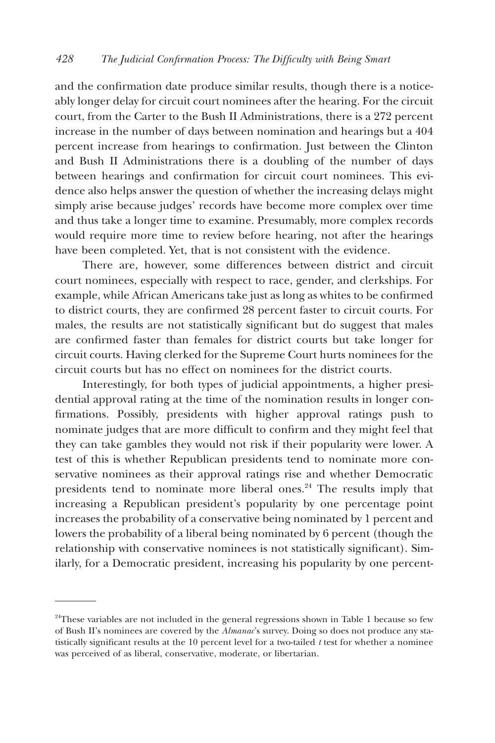and the confirmation date produce similar results, though there is a noticeably longer delay for circuit court nominees after the hearing. For the circuit court, from the Carter to the Bush II Administrations, there is a 272 percent increase in the number of days between nomination and hearings but a 404 percent increase from hearings to confirmation. Just between the Clinton and Bush II Administrations there is a doubling of the number of days between hearings and confirmation for circuit court nominees. This evidence also helps answer the question of whether the increasing delays might simply arise because judges' records have become more complex over time and thus take a longer time to examine. Presumably, more complex records would require more time to review before hearing, not after the hearings have been completed. Yet, that is not consistent with the evidence.

There are, however, some differences between district and circuit court nominees, especially with respect to race, gender, and clerkships. For example, while African Americans take just as long as whites to be confirmed to district courts, they are confirmed 28 percent faster to circuit courts. For males, the results are not statistically significant but do suggest that males are confirmed faster than females for district courts but take longer for circuit courts. Having clerked for the Supreme Court hurts nominees for the circuit courts but has no effect on nominees for the district courts.

Interestingly, for both types of judicial appointments, a higher presidential approval rating at the time of the nomination results in longer confirmations. Possibly, presidents with higher approval ratings push to nominate judges that are more difficult to confirm and they might feel that they can take gambles they would not risk if their popularity were lower. A test of this is whether Republican presidents tend to nominate more conservative nominees as their approval ratings rise and whether Democratic presidents tend to nominate more liberal ones.<sup>24</sup> The results imply that increasing a Republican president's popularity by one percentage point increases the probability of a conservative being nominated by 1 percent and lowers the probability of a liberal being nominated by 6 percent (though the relationship with conservative nominees is not statistically significant). Similarly, for a Democratic president, increasing his popularity by one percent-

<sup>&</sup>lt;sup>24</sup>These variables are not included in the general regressions shown in Table 1 because so few of Bush II's nominees are covered by the *Almanac*'s survey. Doing so does not produce any statistically significant results at the 10 percent level for a two-tailed *t* test for whether a nominee was perceived of as liberal, conservative, moderate, or libertarian.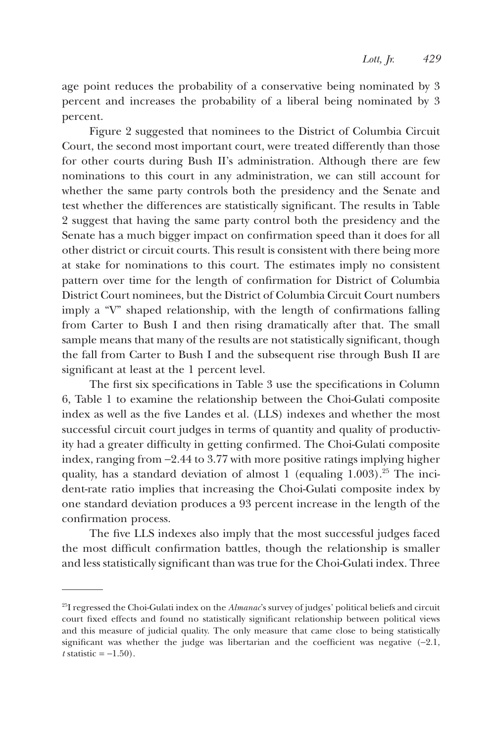age point reduces the probability of a conservative being nominated by 3 percent and increases the probability of a liberal being nominated by 3 percent.

Figure 2 suggested that nominees to the District of Columbia Circuit Court, the second most important court, were treated differently than those for other courts during Bush II's administration. Although there are few nominations to this court in any administration, we can still account for whether the same party controls both the presidency and the Senate and test whether the differences are statistically significant. The results in Table 2 suggest that having the same party control both the presidency and the Senate has a much bigger impact on confirmation speed than it does for all other district or circuit courts. This result is consistent with there being more at stake for nominations to this court. The estimates imply no consistent pattern over time for the length of confirmation for District of Columbia District Court nominees, but the District of Columbia Circuit Court numbers imply a "V" shaped relationship, with the length of confirmations falling from Carter to Bush I and then rising dramatically after that. The small sample means that many of the results are not statistically significant, though the fall from Carter to Bush I and the subsequent rise through Bush II are significant at least at the 1 percent level.

The first six specifications in Table 3 use the specifications in Column 6, Table 1 to examine the relationship between the Choi-Gulati composite index as well as the five Landes et al. (LLS) indexes and whether the most successful circuit court judges in terms of quantity and quality of productivity had a greater difficulty in getting confirmed. The Choi-Gulati composite index, ranging from -2.44 to 3.77 with more positive ratings implying higher quality, has a standard deviation of almost 1 (equaling  $1.003$ ).<sup>25</sup> The incident-rate ratio implies that increasing the Choi-Gulati composite index by one standard deviation produces a 93 percent increase in the length of the confirmation process.

The five LLS indexes also imply that the most successful judges faced the most difficult confirmation battles, though the relationship is smaller and less statistically significant than was true for the Choi-Gulati index. Three

<sup>25</sup>I regressed the Choi-Gulati index on the *Almanac*'s survey of judges' political beliefs and circuit court fixed effects and found no statistically significant relationship between political views and this measure of judicial quality. The only measure that came close to being statistically significant was whether the judge was libertarian and the coefficient was negative  $(-2.1, 1)$ *t* statistic  $= -1.50$ ).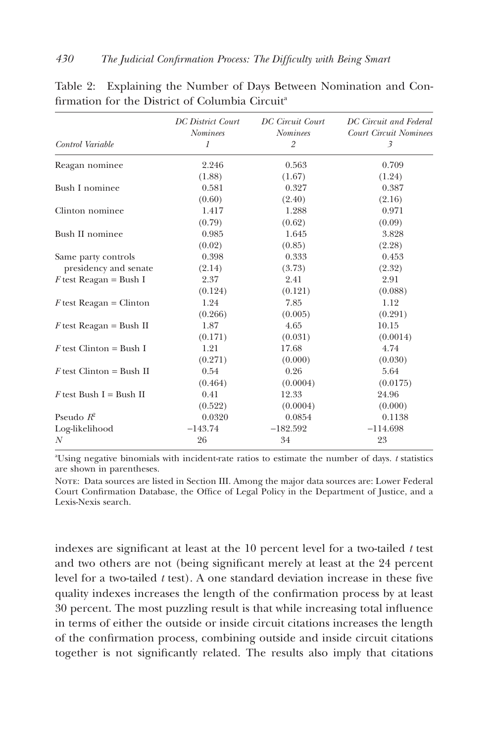|                            | <b>DC</b> District Court<br><b>Nominees</b> | DC Circuit Court<br><b>Nominees</b> | DC Circuit and Federal<br><b>Court Circuit Nominees</b> |
|----------------------------|---------------------------------------------|-------------------------------------|---------------------------------------------------------|
| Control Variable           | $\mathcal{I}$                               | 2                                   | $\overline{\mathbf{3}}$                                 |
| Reagan nominee             | 2.246                                       | 0.563                               | 0.709                                                   |
|                            | (1.88)                                      | (1.67)                              | (1.24)                                                  |
| Bush I nominee             | 0.581                                       | 0.327                               | 0.387                                                   |
|                            | (0.60)                                      | (2.40)                              | (2.16)                                                  |
| Clinton nominee            | 1.417                                       | 1.288                               | 0.971                                                   |
|                            | (0.79)                                      | (0.62)                              | (0.09)                                                  |
| Bush II nominee            | 0.985                                       | 1.645                               | 3.828                                                   |
|                            | (0.02)                                      | (0.85)                              | (2.28)                                                  |
| Same party controls        | 0.398                                       | 0.333                               | 0.453                                                   |
| presidency and senate      | (2.14)                                      | (3.73)                              | (2.32)                                                  |
| $F$ test Reagan = Bush I   | 2.37                                        | 2.41                                | 2.91                                                    |
|                            | (0.124)                                     | (0.121)                             | (0.088)                                                 |
| $F$ test Reagan = Clinton  | 1.24                                        | 7.85                                | 1.12                                                    |
|                            | (0.266)                                     | (0.005)                             | (0.291)                                                 |
| $F$ test Reagan = Bush II  | 1.87                                        | 4.65                                | 10.15                                                   |
|                            | (0.171)                                     | (0.031)                             | (0.0014)                                                |
| $F$ test Clinton = Bush I  | 1.21                                        | 17.68                               | 4.74                                                    |
|                            | (0.271)                                     | (0.000)                             | (0.030)                                                 |
| $F$ test Clinton = Bush II | 0.54                                        | 0.26                                | 5.64                                                    |
|                            | (0.464)                                     | (0.0004)                            | (0.0175)                                                |
| $F$ test Bush I = Bush II  | 0.41                                        | 12.33                               | 24.96                                                   |
|                            | (0.522)                                     | (0.0004)                            | (0.000)                                                 |
| Pseudo $R^2$               | 0.0320                                      | 0.0854                              | 0.1138                                                  |
| Log-likelihood             | $-143.74$                                   | $-182.592$                          | $-114.698$                                              |
| N                          | 26                                          | 34                                  | 23                                                      |

Table 2: Explaining the Number of Days Between Nomination and Confirmation for the District of Columbia Circuit<sup>a</sup>

a Using negative binomials with incident-rate ratios to estimate the number of days. *t* statistics are shown in parentheses.

Note: Data sources are listed in Section III. Among the major data sources are: Lower Federal Court Confirmation Database, the Office of Legal Policy in the Department of Justice, and a Lexis-Nexis search.

indexes are significant at least at the 10 percent level for a two-tailed *t* test and two others are not (being significant merely at least at the 24 percent level for a two-tailed *t* test). A one standard deviation increase in these five quality indexes increases the length of the confirmation process by at least 30 percent. The most puzzling result is that while increasing total influence in terms of either the outside or inside circuit citations increases the length of the confirmation process, combining outside and inside circuit citations together is not significantly related. The results also imply that citations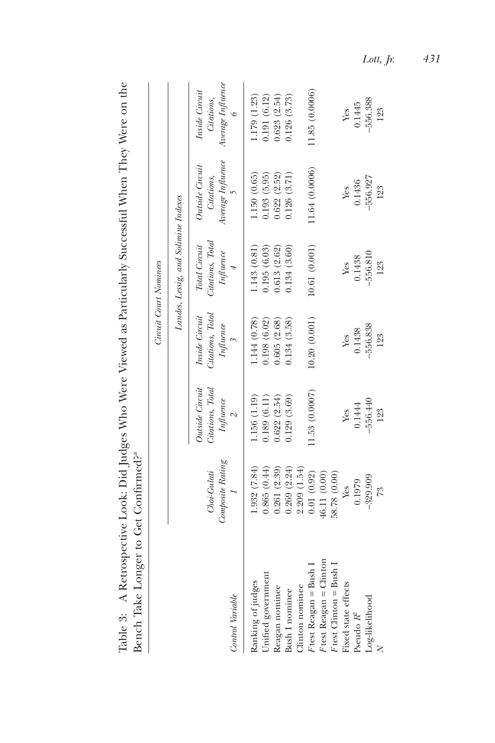| Bench Take Longer to Get Confirmed? <sup>a</sup> |                                 |                                                                                                                                                                                                                                                                                                                                                                                                                                                                                                                                      |                                                                        |                                                                       |                                                    |                                                   |
|--------------------------------------------------|---------------------------------|--------------------------------------------------------------------------------------------------------------------------------------------------------------------------------------------------------------------------------------------------------------------------------------------------------------------------------------------------------------------------------------------------------------------------------------------------------------------------------------------------------------------------------------|------------------------------------------------------------------------|-----------------------------------------------------------------------|----------------------------------------------------|---------------------------------------------------|
|                                                  |                                 |                                                                                                                                                                                                                                                                                                                                                                                                                                                                                                                                      |                                                                        | Circuit Court Nominees                                                |                                                    |                                                   |
|                                                  |                                 |                                                                                                                                                                                                                                                                                                                                                                                                                                                                                                                                      |                                                                        | Landes, Lessig, and Solimine Indexes                                  |                                                    |                                                   |
| Control Variable                                 | Composite Rating<br>Choi-Gulati | Citations, Total<br>Outside Circuit<br>$Influence % \begin{center} \includegraphics[width=0.6\textwidth]{figures/fig_0a.pdf} \end{center} % \vspace{-1em} \caption{The \textit{ex}-\textit{ex}-\textit{ex}-\textit{ex}-\textit{ex}-\textit{ex}-\textit{ex}-\textit{ex}-\textit{ex}-\textit{ex}-\textit{ex}-\textit{ex}-\textit{ex}-\textit{ex}-\textit{ex}-\textit{ex}-\textit{ex}-\textit{ex}-\textit{ex}-\textit{ex}-\textit{ex}-\textit{ex}-\textit{ex}-\textit{ex}-\textit{ex}-\textit{ex}-\textit{ex}-\textit{ex}-\textit{ex}-$ | Citations, Total<br>Inside Circuit<br>$\label{eq:influence} Influence$ | Citations, Total<br>Total Circuit<br>$\label{eq:influence} Influence$ | Average Influence<br>Outside Circuit<br>Citations, | Average Influence<br>Inside Circuit<br>Citations, |
| Ranking of judges                                | 1.932(7.84)                     | 1.156(1.19)                                                                                                                                                                                                                                                                                                                                                                                                                                                                                                                          | 1.144 (0.78)                                                           | 1.143(0.81)                                                           | 1.150 (0.65)                                       | 1.179 (1.23)                                      |
| Unified government                               | 0.865(0.44)                     | 0.189(6.11)                                                                                                                                                                                                                                                                                                                                                                                                                                                                                                                          | 0.198(6.02)                                                            | 0.195(6.03)                                                           | 0.193 (5.95)                                       | 0.191(6.12)                                       |
| Reagan nominee                                   | 0.261(2.39)                     | 0.622(2.54)                                                                                                                                                                                                                                                                                                                                                                                                                                                                                                                          | 0.605 (2.68)                                                           | 0.613 (2.62)                                                          | 0.622 (2.52)                                       | 0.623(2.54)                                       |
| Bush I nominee                                   | 0.269(2.24)                     | 0.129(3.69)                                                                                                                                                                                                                                                                                                                                                                                                                                                                                                                          | 0.134(3.58)                                                            | 0.134(3.60)                                                           | 0.126(3.71)                                        | 0.126(3.73)                                       |
| Clinton nominee                                  | 2.209(1.54)                     |                                                                                                                                                                                                                                                                                                                                                                                                                                                                                                                                      |                                                                        |                                                                       |                                                    |                                                   |
| F test Reagan = Bush I                           | 0.01(0.92)                      | (1.53)(0.0007)                                                                                                                                                                                                                                                                                                                                                                                                                                                                                                                       | 10.20(0.001)                                                           | 10.61(0.001)                                                          | 11.64 (0.0006)                                     | 11.85 (0.0006)                                    |
| $F$ test Reagan = Clinton                        | 46.11 (0.00)                    |                                                                                                                                                                                                                                                                                                                                                                                                                                                                                                                                      |                                                                        |                                                                       |                                                    |                                                   |
| $F$ test Clinton = Bush I                        | 58.78 (0.00)                    |                                                                                                                                                                                                                                                                                                                                                                                                                                                                                                                                      |                                                                        |                                                                       |                                                    |                                                   |
| Fixed state effects                              | Yes                             |                                                                                                                                                                                                                                                                                                                                                                                                                                                                                                                                      | Yes                                                                    | Yes                                                                   | Yes                                                | Yes                                               |
| Pseudo R <sup>2</sup>                            | 0.1979                          | 0.1444                                                                                                                                                                                                                                                                                                                                                                                                                                                                                                                               | 0.1438                                                                 | 0.1438                                                                | 0.1436                                             | 0.1445                                            |
| Log-likelihood                                   | $-329.909$                      | $-556.440$                                                                                                                                                                                                                                                                                                                                                                                                                                                                                                                           | $-556.838$                                                             | $-556.810$                                                            | $-556.927$                                         | $-556.388$                                        |
|                                                  |                                 | 123                                                                                                                                                                                                                                                                                                                                                                                                                                                                                                                                  | 123                                                                    | 123                                                                   | 123                                                | 123                                               |

Table 3: A Retrospective Look: Did Judges Who Were Viewed as Particularly Successful When They Were on the Table 3: A Retrospective Look: Did Judges Who Were Viewed as Particularly Successful When They Were on the

*Lott, Jr. 431*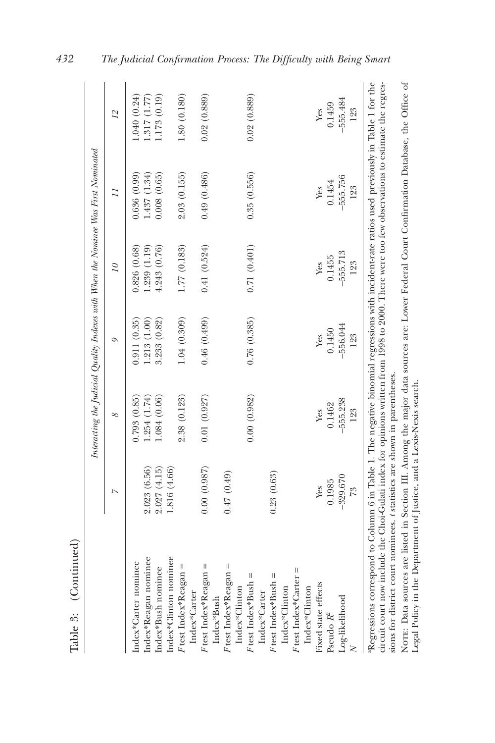| (Continued)<br>Table 3:                                                                                                                                                                                                                                                                                                                                                       |                          |              |              |                |                                                                                    |               |
|-------------------------------------------------------------------------------------------------------------------------------------------------------------------------------------------------------------------------------------------------------------------------------------------------------------------------------------------------------------------------------|--------------------------|--------------|--------------|----------------|------------------------------------------------------------------------------------|---------------|
|                                                                                                                                                                                                                                                                                                                                                                               |                          |              |              |                | Interacting the Judicial Quality Indexes with When the Nominee Was First Nominated |               |
|                                                                                                                                                                                                                                                                                                                                                                               | $\overline{\phantom{0}}$ | $^{\circ}$   | Ó            | $\overline{a}$ | $\overline{11}$                                                                    | 12            |
| Index*Carter nominee                                                                                                                                                                                                                                                                                                                                                          |                          | 0.793(0.85)  | 0.911(0.35)  | 0.826 (0.68)   | 0.636 (0.99)                                                                       | .040(0.24)    |
| Index*Reagan nominee                                                                                                                                                                                                                                                                                                                                                          | 2.023(6.56)              | 1.254(1.74)  | 1.213 (1.00) | 1.239(1.19)    | 1.437(1.34)                                                                        | 1.317(1.77)   |
| Index*Bush nominee                                                                                                                                                                                                                                                                                                                                                            | 2.027(4.15)              | 1.084(0.06)  | 3.233 (0.82) | 4.243 (0.76)   | 0.008(0.65)                                                                        | (0.173)(0.19) |
| Index*Clinton nominee                                                                                                                                                                                                                                                                                                                                                         | 1.816 (4.66)             |              |              |                |                                                                                    |               |
| $F$ test Index*Reagan =<br>Index*Carter                                                                                                                                                                                                                                                                                                                                       |                          | 2.38 (0.123) | 1.04 (0.309) | 1.77 (0.183)   | 2.03(0.155)                                                                        | 1.80 (0.180)  |
| $\parallel$<br>F test Index*Reagan<br>Index*Bush                                                                                                                                                                                                                                                                                                                              | 0.00(0.987)              | 0.01(0.927)  | 0.46(0.499)  | 0.41(0.524)    | 0.49(0.486)                                                                        | 0.02(0.889)   |
| $F$ test Index*Reagan =                                                                                                                                                                                                                                                                                                                                                       | 0.47(0.49)               |              |              |                |                                                                                    |               |
| Index*Clinton                                                                                                                                                                                                                                                                                                                                                                 |                          |              |              |                |                                                                                    |               |
| II<br>F test Index*Bush                                                                                                                                                                                                                                                                                                                                                       |                          | 0.00(0.982)  | 0.76(0.385)  | 0.71(0.401)    | 0.35(0.556)                                                                        | 0.02(0.889)   |
| Index*Carter                                                                                                                                                                                                                                                                                                                                                                  |                          |              |              |                |                                                                                    |               |
| $F$ test Index*Bush =                                                                                                                                                                                                                                                                                                                                                         | 0.23(0.63)               |              |              |                |                                                                                    |               |
| Index*Clinton                                                                                                                                                                                                                                                                                                                                                                 |                          |              |              |                |                                                                                    |               |
| $F$ test Index*Carter =                                                                                                                                                                                                                                                                                                                                                       |                          |              |              |                |                                                                                    |               |
| Index*Clinton                                                                                                                                                                                                                                                                                                                                                                 |                          |              |              |                |                                                                                    |               |
| Fixed state effects                                                                                                                                                                                                                                                                                                                                                           | Yes                      | Yes          | Yes          | Yes            | Yes                                                                                | Yes           |
| Pseudo $R^2$                                                                                                                                                                                                                                                                                                                                                                  | 0.1985                   | 0.1462       | 0.1450       | 0.1455         | 0.1454                                                                             | 0.1459        |
| Log-likelihood                                                                                                                                                                                                                                                                                                                                                                | $-329.670$               | $-555.238$   | $-556.044$   | $-555.713$     | $-555.756$                                                                         | $-555.484$    |
| 2                                                                                                                                                                                                                                                                                                                                                                             | 73                       | 123          | 123          | 123            | 123                                                                                | 123           |
| Regressions correspond to Column 6 in Table 1. The negative binomial regressions with incident-rate ratios used previously in Table 1 for the<br>circuit court now include the Choi-Culati index for opinions written from 1998 to 2000. There were too few observations to estimate the regres-<br>sions for district court nominees. t statistics are shown in parentheses. |                          |              |              |                |                                                                                    |               |
| NOTE: Data sources are listed in Section III. Among the major data sources are: Lower Federal Court Confirmation Database, the Office of                                                                                                                                                                                                                                      |                          |              |              |                |                                                                                    |               |
| Legal Policy in the Department of Justice, and a Lexis-Nexis search.                                                                                                                                                                                                                                                                                                          |                          |              |              |                |                                                                                    |               |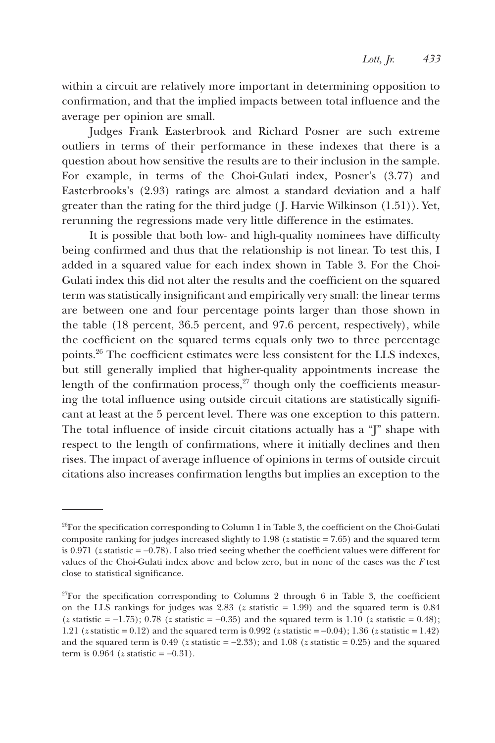within a circuit are relatively more important in determining opposition to confirmation, and that the implied impacts between total influence and the average per opinion are small.

Judges Frank Easterbrook and Richard Posner are such extreme outliers in terms of their performance in these indexes that there is a question about how sensitive the results are to their inclusion in the sample. For example, in terms of the Choi-Gulati index, Posner's (3.77) and Easterbrooks's (2.93) ratings are almost a standard deviation and a half greater than the rating for the third judge ( J. Harvie Wilkinson (1.51)). Yet, rerunning the regressions made very little difference in the estimates.

It is possible that both low- and high-quality nominees have difficulty being confirmed and thus that the relationship is not linear. To test this, I added in a squared value for each index shown in Table 3. For the Choi-Gulati index this did not alter the results and the coefficient on the squared term was statistically insignificant and empirically very small: the linear terms are between one and four percentage points larger than those shown in the table (18 percent, 36.5 percent, and 97.6 percent, respectively), while the coefficient on the squared terms equals only two to three percentage points.26 The coefficient estimates were less consistent for the LLS indexes, but still generally implied that higher-quality appointments increase the length of the confirmation process, $27$  though only the coefficients measuring the total influence using outside circuit citations are statistically significant at least at the 5 percent level. There was one exception to this pattern. The total influence of inside circuit citations actually has a "J" shape with respect to the length of confirmations, where it initially declines and then rises. The impact of average influence of opinions in terms of outside circuit citations also increases confirmation lengths but implies an exception to the

 $26$ For the specification corresponding to Column 1 in Table 3, the coefficient on the Choi-Gulati composite ranking for judges increased slightly to 1.98 (*z* statistic = 7.65) and the squared term is 0.971 ( $z$  statistic  $= -0.78$ ). I also tried seeing whether the coefficient values were different for values of the Choi-Gulati index above and below zero, but in none of the cases was the *F* test close to statistical significance.

 $27$ For the specification corresponding to Columns 2 through 6 in Table 3, the coefficient on the LLS rankings for judges was 2.83 (*z* statistic = 1.99) and the squared term is 0.84  $(z \text{ statistic } = -1.75)$ ; 0.78  $(z \text{ statistic } = -0.35)$  and the squared term is 1.10  $(z \text{ statistic } = 0.48)$ ; 1.21 (*z* statistic = 0.12) and the squared term is 0.992 (*z* statistic =  $-0.04$ ); 1.36 (*z* statistic = 1.42) and the squared term is  $0.49$  ( $z$  statistic = -2.33); and  $1.08$  ( $z$  statistic =  $0.25$ ) and the squared term is  $0.964$  (*z* statistic =  $-0.31$ ).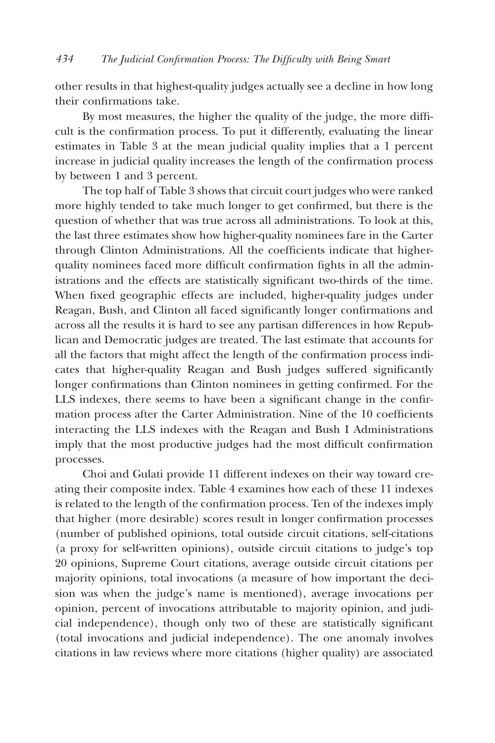other results in that highest-quality judges actually see a decline in how long their confirmations take.

By most measures, the higher the quality of the judge, the more difficult is the confirmation process. To put it differently, evaluating the linear estimates in Table 3 at the mean judicial quality implies that a 1 percent increase in judicial quality increases the length of the confirmation process by between 1 and 3 percent.

The top half of Table 3 shows that circuit court judges who were ranked more highly tended to take much longer to get confirmed, but there is the question of whether that was true across all administrations. To look at this, the last three estimates show how higher-quality nominees fare in the Carter through Clinton Administrations. All the coefficients indicate that higherquality nominees faced more difficult confirmation fights in all the administrations and the effects are statistically significant two-thirds of the time. When fixed geographic effects are included, higher-quality judges under Reagan, Bush, and Clinton all faced significantly longer confirmations and across all the results it is hard to see any partisan differences in how Republican and Democratic judges are treated. The last estimate that accounts for all the factors that might affect the length of the confirmation process indicates that higher-quality Reagan and Bush judges suffered significantly longer confirmations than Clinton nominees in getting confirmed. For the LLS indexes, there seems to have been a significant change in the confirmation process after the Carter Administration. Nine of the 10 coefficients interacting the LLS indexes with the Reagan and Bush I Administrations imply that the most productive judges had the most difficult confirmation processes.

Choi and Gulati provide 11 different indexes on their way toward creating their composite index. Table 4 examines how each of these 11 indexes is related to the length of the confirmation process. Ten of the indexes imply that higher (more desirable) scores result in longer confirmation processes (number of published opinions, total outside circuit citations, self-citations (a proxy for self-written opinions), outside circuit citations to judge's top 20 opinions, Supreme Court citations, average outside circuit citations per majority opinions, total invocations (a measure of how important the decision was when the judge's name is mentioned), average invocations per opinion, percent of invocations attributable to majority opinion, and judicial independence), though only two of these are statistically significant (total invocations and judicial independence). The one anomaly involves citations in law reviews where more citations (higher quality) are associated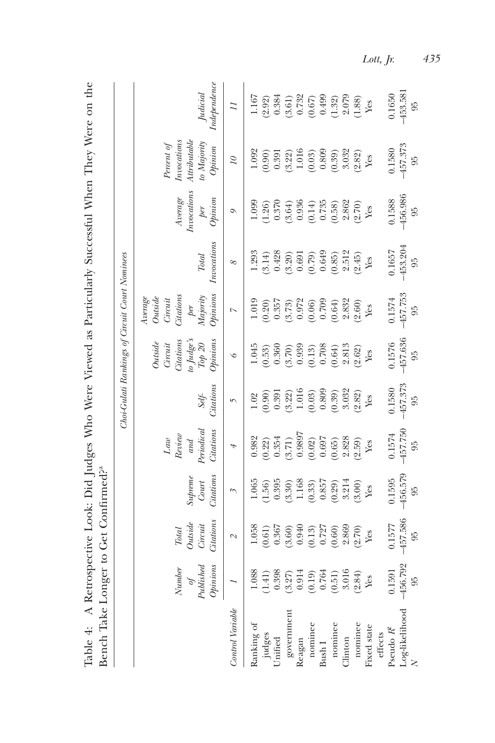| Table 4: A Retrospective Look: Did Judges Who Were Viewed as Particularly Successful When They Were on the<br>Bench Take Longer to Get Confirmed? |                                             |                                                        |                                                         |                                                        |                                                         |                                                                    | Choi-Gulati Rankings of Cincuit Court Nominees                           |                                                |                                                |                                                                                    |                                                                      |
|---------------------------------------------------------------------------------------------------------------------------------------------------|---------------------------------------------|--------------------------------------------------------|---------------------------------------------------------|--------------------------------------------------------|---------------------------------------------------------|--------------------------------------------------------------------|--------------------------------------------------------------------------|------------------------------------------------|------------------------------------------------|------------------------------------------------------------------------------------|----------------------------------------------------------------------|
|                                                                                                                                                   | Opinions<br>$sublished$<br>Number<br>$\rho$ | <b>Exterions</b><br>Outside<br>Circuit<br><b>Total</b> | <b>Executions</b><br>Supreme<br>Court                   | Citations<br>Periodica<br>Review<br>and<br>$Law$       | Citations<br>Self-                                      | 'o Judge's<br>Apinions<br>Citation<br>Top 20<br>Outside<br>Circuit | Opinions<br>Citation<br>Outside<br>Majority<br>Average<br>Circuit<br>per | Invocations<br><b>Total</b>                    | Invocations<br>$A$ verage<br>Opinion<br>per    | <i>Invocations</i><br>$Atri but a b\bar b$<br>'o Majority<br>Percent of<br>Opinion | Independence<br>Judicial                                             |
| <b>Control Variable</b>                                                                                                                           |                                             | $\mathcal{L}$                                          | $\sim$                                                  | 4                                                      | $\tilde{z}$                                             | $\circ$                                                            | $\overline{\phantom{0}}$                                                 | ∞                                              | Ó                                              | $\overline{\mathcal{L}}$                                                           | $\overline{I}$                                                       |
| Ranking of                                                                                                                                        | 1.088                                       | 1.058                                                  | 1.065                                                   | 0.982                                                  | 1.02                                                    | 1.045                                                              | 1.019                                                                    | 1.293                                          | 1.099                                          | 1.092                                                                              | 1.167                                                                |
| judges                                                                                                                                            | (1.41)                                      | (0.61)                                                 | (1.56)                                                  | $(0.22)$<br>$0.354$                                    | (0.90)                                                  | $(0.53)$<br>$0.360$                                                | (0.20)                                                                   | $3.14)$                                        | $\frac{1.26}{0.370}$                           | (0.90)                                                                             | (2.92)                                                               |
| Unified                                                                                                                                           | 0.398                                       | 0.367                                                  | 0.395                                                   |                                                        | 0.391                                                   |                                                                    | 0.357                                                                    | 0.428                                          |                                                | 0.391                                                                              | 0.384                                                                |
| government                                                                                                                                        | $(3.27)$<br>0.914                           | $(3.60)$<br>0.940                                      | $(3.30)$<br>1.168                                       | $(3.71)$<br>0.9897                                     | $(3.22)$<br>1.016                                       | $(3.70)$<br>0.939                                                  | $(3.73)$<br>0.972                                                        | $(3.20)$<br>0.691                              | $(3.64)$<br>0.936                              | $(3.22)$<br>1.016                                                                  | $\begin{array}{c} (3.61) \\ 0.732 \end{array}$                       |
| Reagan                                                                                                                                            |                                             |                                                        |                                                         |                                                        |                                                         |                                                                    |                                                                          |                                                |                                                |                                                                                    |                                                                      |
| nominee                                                                                                                                           | (0.19)                                      | $\frac{(0.13)}{0.727}$                                 | (0.33)                                                  | $(0.02)$<br>0.697                                      | (0.03)                                                  | $\begin{array}{c} (0.13) \\ 0.708 \end{array}$                     | $(0.06)$<br>0.709                                                        | $(0.79)$<br>0.649                              | $\begin{array}{c} (0.14) \\ 0.735 \end{array}$ | $(0.03)$<br>$0.809$                                                                |                                                                      |
| Bush I                                                                                                                                            | 0.764                                       |                                                        | 0.857                                                   |                                                        | 0.809                                                   |                                                                    |                                                                          |                                                |                                                |                                                                                    | $\begin{array}{c} (0.67)\\ (0.493)\\ (1.32)\\ (1.307)\\ \end{array}$ |
| nominee                                                                                                                                           | (0.51)                                      | $(0.60)$<br>2.869                                      | $\begin{array}{c} (0.29) \\ 3.214 \\ 3.00) \end{array}$ | $\begin{array}{c} (0.65) \\ 2.828 \\ 2.59 \end{array}$ | $\begin{array}{c} (0.39) \\ 3.032 \\ 2.82) \end{array}$ | (0.64)                                                             | $(0.64)$<br>2.832                                                        | $\begin{array}{c} (0.85) \\ 2.512 \end{array}$ | $(0.58)$<br>$2.862$<br>$(2.70)$                | (0.39)                                                                             |                                                                      |
| Clinton                                                                                                                                           | 3.016                                       |                                                        |                                                         |                                                        |                                                         | $\frac{2.813}{2.62}$                                               |                                                                          |                                                |                                                | 3.032                                                                              |                                                                      |
| nominee                                                                                                                                           | (2.84)                                      | (2.70)                                                 |                                                         |                                                        |                                                         |                                                                    | (2.60)                                                                   | (2.45)                                         |                                                | (2.82)                                                                             | (1.88)                                                               |
| Fixed state<br>effects                                                                                                                            | Yes                                         | Yes                                                    | Yes                                                     | Yes                                                    | Yes                                                     | Yes                                                                | Yes                                                                      | Yes                                            | Yes                                            | Yes                                                                                | Yes                                                                  |
| Log-likelihood<br>Pseudo $R^2$<br>$\geq$                                                                                                          | $-456.792$<br>0.1591<br>95                  | $-457.586$<br>0.1577<br>95                             | $-456.579$<br>0.1595<br>95                              | $-457.750$<br>0.1574<br>95                             | $-457.373$<br>0.1580<br>95                              | $-457.636$<br>0.1576<br>95                                         | $-457.753$<br>0.1574<br>95                                               | $-453.204$<br>0.1657<br>95                     | $-456.986$<br>0.1588<br>95                     | $-457.373$<br>0.1580<br>$95^{\circ}$                                               | $-453.581$<br>0.1650<br>95                                           |

| ֖֖֖֧ׅ֧ׅ֪֧֧֧֧֧֧֪֧֪֧֪֪֪֪֪֧֪֪֧֪֧֪֧֪֧֚֚֚֚֚֚֚֚֚֚֚֚֚֚֚֚֚֚֚֚֚֚֚֚֚֚֚֚֚֬֘֝֝֬֓֓֞֝֓֬֝֬֓֝֬֓֝֬֝֬֝֬֝֬֝֬֝֬ |                          |
|---------------------------------------------------------------------------------------------|--------------------------|
| ׇ֚֘֡                                                                                        |                          |
|                                                                                             |                          |
| i<br>i                                                                                      |                          |
|                                                                                             |                          |
|                                                                                             |                          |
| i<br>C                                                                                      |                          |
|                                                                                             |                          |
|                                                                                             |                          |
| i                                                                                           |                          |
|                                                                                             |                          |
|                                                                                             |                          |
|                                                                                             |                          |
|                                                                                             |                          |
|                                                                                             |                          |
|                                                                                             |                          |
|                                                                                             |                          |
|                                                                                             |                          |
| .<br>.                                                                                      |                          |
|                                                                                             |                          |
|                                                                                             |                          |
|                                                                                             |                          |
|                                                                                             |                          |
| l                                                                                           |                          |
| ;                                                                                           |                          |
|                                                                                             |                          |
| ì<br>ļ                                                                                      |                          |
|                                                                                             |                          |
|                                                                                             |                          |
|                                                                                             |                          |
|                                                                                             |                          |
| $\frac{1}{2}$                                                                               |                          |
|                                                                                             |                          |
| きょうこうしょう                                                                                    |                          |
|                                                                                             |                          |
| ļ                                                                                           |                          |
|                                                                                             |                          |
|                                                                                             | I                        |
|                                                                                             | $\overline{\phantom{a}}$ |
| Ē<br>I                                                                                      | i                        |

*Lott, Jr. 435*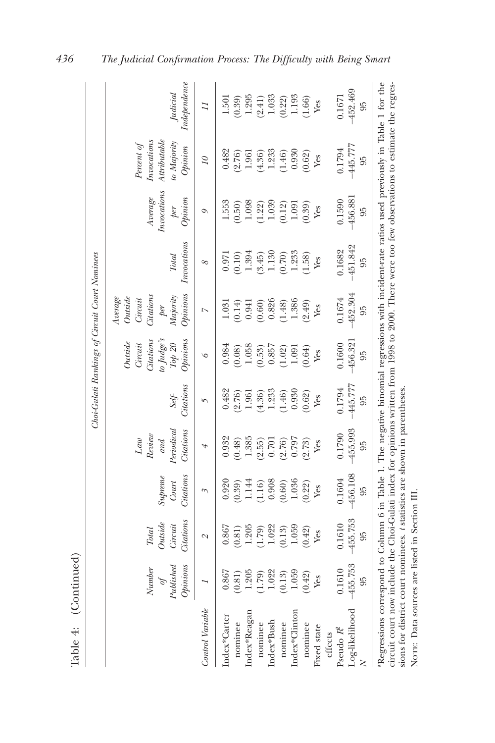|                                                                                                                                                                                                                                                                                                                                                                               |                                                |                                                      |                             |                                                     |                    |                                                                                 | Choi-Gulati Rankings of Cincuit Court Nominees                            |                              |                                          |                                                                       |                                                |
|-------------------------------------------------------------------------------------------------------------------------------------------------------------------------------------------------------------------------------------------------------------------------------------------------------------------------------------------------------------------------------|------------------------------------------------|------------------------------------------------------|-----------------------------|-----------------------------------------------------|--------------------|---------------------------------------------------------------------------------|---------------------------------------------------------------------------|------------------------------|------------------------------------------|-----------------------------------------------------------------------|------------------------------------------------|
|                                                                                                                                                                                                                                                                                                                                                                               | Opinons<br>$sublished$<br>Number<br>$\rho$     | <b>Mations</b><br>Outside<br>Circuit<br><b>Total</b> | Citations<br>supmn<br>Court | $P^{modified}$<br>Citations<br>Review<br>Law<br>and | Citations<br>Self- | to Judge's<br>$p_{\hat{u}}$<br><b>Citations</b><br>Outside<br>Top 20<br>Circuit | Opinions<br>Citations<br>per<br>Majority<br>Outside<br>Average<br>Circuit | $In vectors$<br><b>Total</b> | Invocations<br>Average<br>Opinion<br>per | $Inveations$<br>o Majority<br>Atri but a b b<br>Percent of<br>Opinion | Independence<br>Judicial                       |
| <b>Control</b> Variable                                                                                                                                                                                                                                                                                                                                                       |                                                | $\sim$                                               | $\sim$                      | 4                                                   | $\tilde{z}$        | $\circ$                                                                         | $\overline{a}$                                                            | $\infty$                     | Ó                                        | $\overline{\mathcal{L}}$                                              | $\overline{11}$                                |
| Index*Carter                                                                                                                                                                                                                                                                                                                                                                  | 0.867                                          | 0.867                                                | 0.920                       | 0.932                                               | 0.482              | 0.984                                                                           | 1.031                                                                     | 0.971                        | 1.553                                    | 0.482                                                                 | 1.501                                          |
| nominee                                                                                                                                                                                                                                                                                                                                                                       | (0.81)                                         | (0.81)                                               |                             | (0.48)                                              | (2.76)             | (0.08)                                                                          | (0.14)                                                                    | (0.10)                       | (0.50)                                   |                                                                       |                                                |
| Index*Reagan                                                                                                                                                                                                                                                                                                                                                                  | 1.205                                          | 1.205                                                | $(0.39)$<br>1.144           | 1.385                                               | 1.961              | 1.058                                                                           | 0.941                                                                     | 1.394                        | 1.098                                    | $(2.76)$<br>1.961                                                     | $\begin{array}{c} (0.39) \\ 1.295 \end{array}$ |
| nominee                                                                                                                                                                                                                                                                                                                                                                       | $(1.79)$<br>1.022                              | (67.1)                                               | (1.16)                      | (2.55)                                              | (4.36)             | (0.53)                                                                          | (0.60)                                                                    | (3.45)                       | (1.22)                                   | (4.36)                                                                | $(2.41)$<br>1.033                              |
| Index*Bush                                                                                                                                                                                                                                                                                                                                                                    |                                                | 1.022                                                | 0.908                       | 0.701                                               | 1.233              | 0.857                                                                           | 0.826                                                                     | 1.130                        | 1.039                                    |                                                                       |                                                |
| nominee                                                                                                                                                                                                                                                                                                                                                                       | $\begin{array}{c} (0.13) \\ 1.059 \end{array}$ | (0.13)                                               | (0.60)                      | (2.76)                                              | 1.46)              | $(1.02)$<br>1.091                                                               | (1.48)                                                                    | (0.70)                       | (0.12)                                   | $\frac{1.233}{(1.46)}$                                                |                                                |
| Index*Clinton                                                                                                                                                                                                                                                                                                                                                                 |                                                | 1.059                                                | 1.036                       | 0.797                                               | 0.930              |                                                                                 | 1.386                                                                     | 1.233                        | 1.091                                    | 0.930                                                                 | $(0.22)$<br>1.193                              |
| nominee                                                                                                                                                                                                                                                                                                                                                                       | (0.42)                                         | (0.42)                                               | 0.22)                       | (2.73)                                              | (0.62)             | (0.64)                                                                          | (2.49)                                                                    | (1.58)                       | (0.39)                                   | (0.62)                                                                | $1.66)$                                        |
| Fixed state                                                                                                                                                                                                                                                                                                                                                                   | Yes                                            | Yes                                                  | Yes                         | Yes                                                 | Yes                | Yes                                                                             | Yes                                                                       | Yes                          | Yes                                      | Yes                                                                   | Yes                                            |
| effects                                                                                                                                                                                                                                                                                                                                                                       |                                                |                                                      |                             |                                                     |                    |                                                                                 |                                                                           |                              |                                          |                                                                       |                                                |
| Pseudo $R^{\!\!2}$                                                                                                                                                                                                                                                                                                                                                            | 0.1610                                         | 0.1610                                               | 0.1604                      | 0.1790                                              | 0.1794             | 0.1600                                                                          | 0.1674                                                                    | 0.1682                       | 0.1590                                   | 0.1794                                                                | 0.1671                                         |
| Log-likelihood<br>$\geq$                                                                                                                                                                                                                                                                                                                                                      | $-455.753$<br>95                               | $-455.753$<br>95                                     | $-456.108$<br>95            | $-455.993$<br>$95^{\circ}$                          | $-445.777$<br>95   | $-456.321$<br>95                                                                | $-452.304$<br>$95^{\circ}$                                                | $-451.842$<br>95             | 456.881<br>95                            | $-445.777$<br>95                                                      | $-452.469$<br>$95^{\circ}$                     |
| "Regressions correspond to Column 6 in Table 1. The negative binomial regressions with incident-rate ratios used previously in Table 1 for the<br>circuit court now include the Choi-Gulati index for opinions written from 1998 to 2000. There were too few observations to estimate the regres-<br>sions for district court nominees. t statistics are shown in parentheses |                                                |                                                      |                             |                                                     |                    |                                                                                 |                                                                           |                              |                                          |                                                                       |                                                |

Note: Data sources are listed in Section III.

NOTE: Data sources are listed in Section III.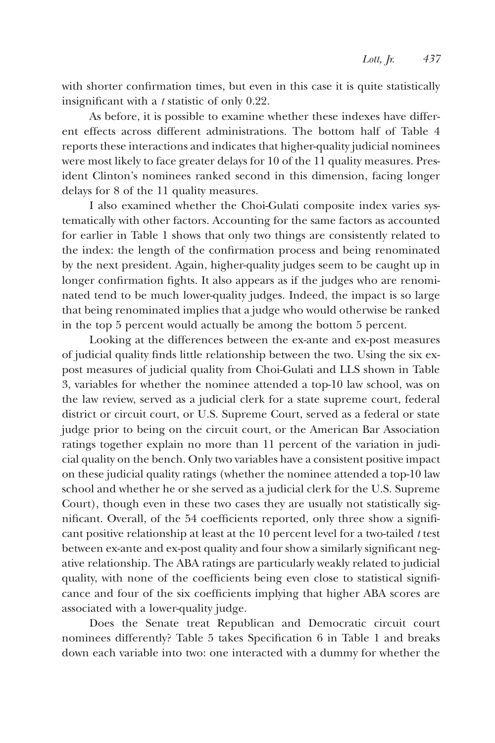with shorter confirmation times, but even in this case it is quite statistically insignificant with a *t* statistic of only 0.22.

As before, it is possible to examine whether these indexes have different effects across different administrations. The bottom half of Table 4 reports these interactions and indicates that higher-quality judicial nominees were most likely to face greater delays for 10 of the 11 quality measures. President Clinton's nominees ranked second in this dimension, facing longer delays for 8 of the 11 quality measures.

I also examined whether the Choi-Gulati composite index varies systematically with other factors. Accounting for the same factors as accounted for earlier in Table 1 shows that only two things are consistently related to the index: the length of the confirmation process and being renominated by the next president. Again, higher-quality judges seem to be caught up in longer confirmation fights. It also appears as if the judges who are renominated tend to be much lower-quality judges. Indeed, the impact is so large that being renominated implies that a judge who would otherwise be ranked in the top 5 percent would actually be among the bottom 5 percent.

Looking at the differences between the ex-ante and ex-post measures of judicial quality finds little relationship between the two. Using the six expost measures of judicial quality from Choi-Gulati and LLS shown in Table 3, variables for whether the nominee attended a top-10 law school, was on the law review, served as a judicial clerk for a state supreme court, federal district or circuit court, or U.S. Supreme Court, served as a federal or state judge prior to being on the circuit court, or the American Bar Association ratings together explain no more than 11 percent of the variation in judicial quality on the bench. Only two variables have a consistent positive impact on these judicial quality ratings (whether the nominee attended a top-10 law school and whether he or she served as a judicial clerk for the U.S. Supreme Court), though even in these two cases they are usually not statistically significant. Overall, of the 54 coefficients reported, only three show a significant positive relationship at least at the 10 percent level for a two-tailed *t* test between ex-ante and ex-post quality and four show a similarly significant negative relationship. The ABA ratings are particularly weakly related to judicial quality, with none of the coefficients being even close to statistical significance and four of the six coefficients implying that higher ABA scores are associated with a lower-quality judge.

Does the Senate treat Republican and Democratic circuit court nominees differently? Table 5 takes Specification 6 in Table 1 and breaks down each variable into two: one interacted with a dummy for whether the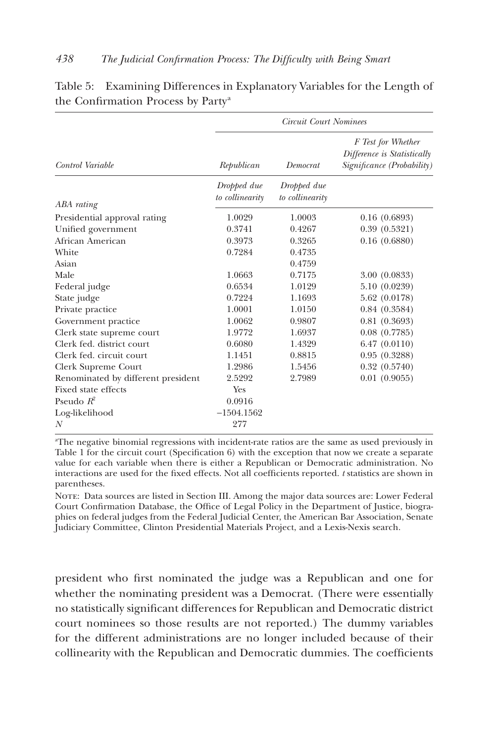#### *438 The Judicial Confirmation Process: The Difficulty with Being Smart*

|                                    |                                | Circuit Court Nominees         |                                                                                 |
|------------------------------------|--------------------------------|--------------------------------|---------------------------------------------------------------------------------|
| Control Variable                   | Republican                     | Democrat                       | F Test for Whether<br>Difference is Statistically<br>Significance (Probability) |
| ABA rating                         | Dropped due<br>to collinearity | Dropped due<br>to collinearity |                                                                                 |
| Presidential approval rating       | 1.0029                         | 1.0003                         | 0.16(0.6893)                                                                    |
| Unified government                 | 0.3741                         | 0.4267                         | 0.39(0.5321)                                                                    |
| African American                   | 0.3973                         | 0.3265                         | 0.16(0.6880)                                                                    |
| White                              | 0.7284                         | 0.4735                         |                                                                                 |
| Asian                              |                                | 0.4759                         |                                                                                 |
| Male                               | 1.0663                         | 0.7175                         | 3.00(0.0833)                                                                    |
| Federal judge                      | 0.6534                         | 1.0129                         | 5.10(0.0239)                                                                    |
| State judge                        | 0.7224                         | 1.1693                         | 5.62(0.0178)                                                                    |
| Private practice                   | 1.0001                         | 1.0150                         | 0.84(0.3584)                                                                    |
| Government practice                | 1.0062                         | 0.9807                         | 0.81(0.3693)                                                                    |
| Clerk state supreme court          | 1.9772                         | 1.6937                         | 0.08(0.7785)                                                                    |
| Clerk fed. district court          | 0.6080                         | 1.4329                         | 6.47(0.0110)                                                                    |
| Clerk fed. circuit court           | 1.1451                         | 0.8815                         | 0.95(0.3288)                                                                    |
| Clerk Supreme Court                | 1.2986                         | 1.5456                         | 0.32(0.5740)                                                                    |
| Renominated by different president | 2.5292                         | 2.7989                         | 0.01(0.9055)                                                                    |
| Fixed state effects                | Yes                            |                                |                                                                                 |
| Pseudo $R^2$                       | 0.0916                         |                                |                                                                                 |
| Log-likelihood                     | $-1504.1562$                   |                                |                                                                                 |
| N                                  | 277                            |                                |                                                                                 |

Table 5: Examining Differences in Explanatory Variables for the Length of the Confirmation Process by Party<sup>a</sup>

a The negative binomial regressions with incident-rate ratios are the same as used previously in Table 1 for the circuit court (Specification 6) with the exception that now we create a separate value for each variable when there is either a Republican or Democratic administration. No interactions are used for the fixed effects. Not all coefficients reported. *t* statistics are shown in parentheses.

Note: Data sources are listed in Section III. Among the major data sources are: Lower Federal Court Confirmation Database, the Office of Legal Policy in the Department of Justice, biographies on federal judges from the Federal Judicial Center, the American Bar Association, Senate Judiciary Committee, Clinton Presidential Materials Project, and a Lexis-Nexis search.

president who first nominated the judge was a Republican and one for whether the nominating president was a Democrat. (There were essentially no statistically significant differences for Republican and Democratic district court nominees so those results are not reported.) The dummy variables for the different administrations are no longer included because of their collinearity with the Republican and Democratic dummies. The coefficients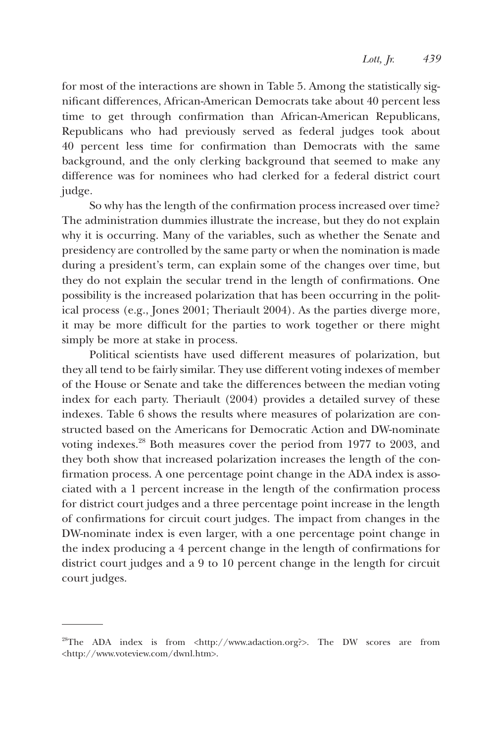for most of the interactions are shown in Table 5. Among the statistically significant differences, African-American Democrats take about 40 percent less time to get through confirmation than African-American Republicans, Republicans who had previously served as federal judges took about 40 percent less time for confirmation than Democrats with the same background, and the only clerking background that seemed to make any difference was for nominees who had clerked for a federal district court judge.

So why has the length of the confirmation process increased over time? The administration dummies illustrate the increase, but they do not explain why it is occurring. Many of the variables, such as whether the Senate and presidency are controlled by the same party or when the nomination is made during a president's term, can explain some of the changes over time, but they do not explain the secular trend in the length of confirmations. One possibility is the increased polarization that has been occurring in the political process (e.g., Jones 2001; Theriault 2004). As the parties diverge more, it may be more difficult for the parties to work together or there might simply be more at stake in process.

Political scientists have used different measures of polarization, but they all tend to be fairly similar. They use different voting indexes of member of the House or Senate and take the differences between the median voting index for each party. Theriault (2004) provides a detailed survey of these indexes. Table 6 shows the results where measures of polarization are constructed based on the Americans for Democratic Action and DW-nominate voting indexes.<sup>28</sup> Both measures cover the period from 1977 to 2003, and they both show that increased polarization increases the length of the confirmation process. A one percentage point change in the ADA index is associated with a 1 percent increase in the length of the confirmation process for district court judges and a three percentage point increase in the length of confirmations for circuit court judges. The impact from changes in the DW-nominate index is even larger, with a one percentage point change in the index producing a 4 percent change in the length of confirmations for district court judges and a 9 to 10 percent change in the length for circuit court judges.

<sup>&</sup>lt;sup>28</sup>The ADA index is from <<http://www.adaction.org?>>. The DW scores are from [<http://www.voteview.com/dwnl.htm](http://www.voteview.com/dwnl.htm)>.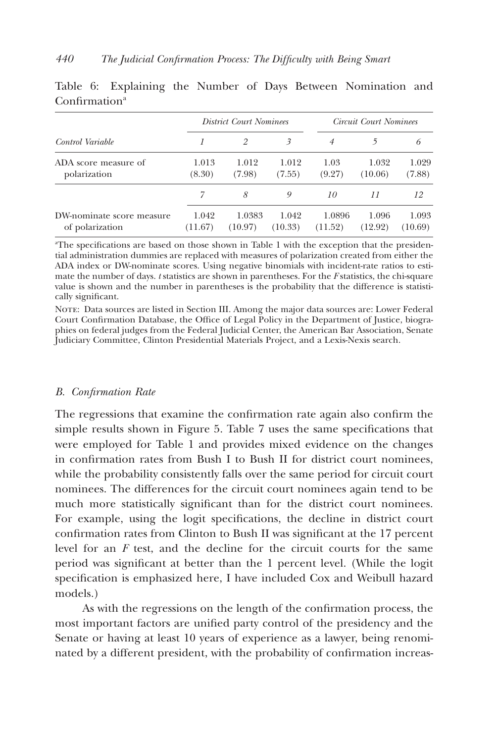|                                              |                  | District Court Nominees |                         |                   | Circuit Court Nominees |                  |
|----------------------------------------------|------------------|-------------------------|-------------------------|-------------------|------------------------|------------------|
| Control Variable                             |                  | 2                       | $\overline{\mathbf{3}}$ | 4                 | 5                      | 6                |
| ADA score measure of<br>polarization         | 1.013<br>(8.30)  | 1.012<br>(7.98)         | 1.012<br>(7.55)         | 1.03<br>(9.27)    | 1.032<br>(10.06)       | 1.029<br>(7.88)  |
|                                              |                  | 8                       | 9                       | 10                | 11                     | 12               |
| DW-nominate score measure<br>of polarization | 1.042<br>(11.67) | 1.0383<br>(10.97)       | 1.042<br>(10.33)        | 1.0896<br>(11.52) | 1.096<br>(12.92)       | 1.093<br>(10.69) |

Table 6: Explaining the Number of Days Between Nomination and Confirmation<sup>a</sup>

a The specifications are based on those shown in Table 1 with the exception that the presidential administration dummies are replaced with measures of polarization created from either the ADA index or DW-nominate scores. Using negative binomials with incident-rate ratios to estimate the number of days. *t* statistics are shown in parentheses. For the *F* statistics, the chi-square value is shown and the number in parentheses is the probability that the difference is statistically significant.

Note: Data sources are listed in Section III. Among the major data sources are: Lower Federal Court Confirmation Database, the Office of Legal Policy in the Department of Justice, biographies on federal judges from the Federal Judicial Center, the American Bar Association, Senate Judiciary Committee, Clinton Presidential Materials Project, and a Lexis-Nexis search.

#### *B. Confirmation Rate*

The regressions that examine the confirmation rate again also confirm the simple results shown in Figure 5. Table 7 uses the same specifications that were employed for Table 1 and provides mixed evidence on the changes in confirmation rates from Bush I to Bush II for district court nominees, while the probability consistently falls over the same period for circuit court nominees. The differences for the circuit court nominees again tend to be much more statistically significant than for the district court nominees. For example, using the logit specifications, the decline in district court confirmation rates from Clinton to Bush II was significant at the 17 percent level for an *F* test, and the decline for the circuit courts for the same period was significant at better than the 1 percent level. (While the logit specification is emphasized here, I have included Cox and Weibull hazard models.)

As with the regressions on the length of the confirmation process, the most important factors are unified party control of the presidency and the Senate or having at least 10 years of experience as a lawyer, being renominated by a different president, with the probability of confirmation increas-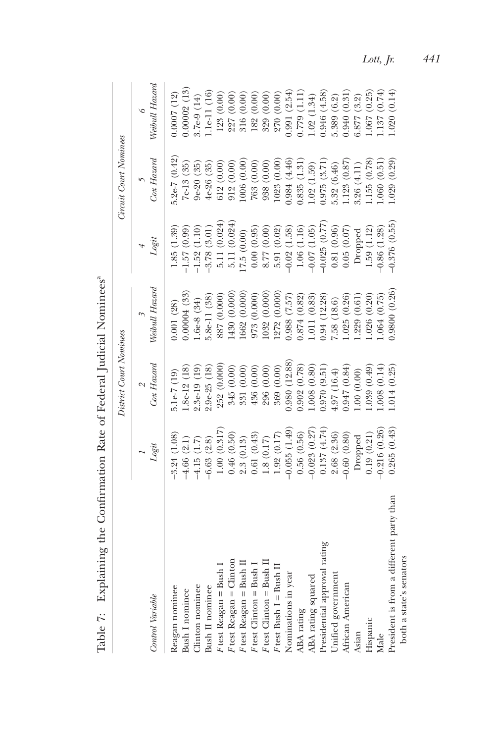| .<br>p                                   |                | District Court Nominees<br>$\overline{\phantom{0}}$ |                |                  | Circuit Court Nominees |                |
|------------------------------------------|----------------|-----------------------------------------------------|----------------|------------------|------------------------|----------------|
| Control Variable                         | Logit          | Cox Hazard                                          | Weibull Hazard | Logit            | Cox Hazard             | Weibull Hazard |
| Reagan nominee                           | $-3.24(1.08)$  | $5.1e-7(19)$                                        | 0.001 (28)     | 1.85 (1.39)      | $0.2e-7$ $(0.42)$      | 0.0007(12)     |
| Bush I nominee                           | $-4.66(2.1)$   | $.8e-12(18)$                                        | 0.00004(33)    | $-1.57(0.99)$    | $7e-13(35)$            | 0.00002(13)    |
| Clinton nominee                          | $-4.15(1.7)$   | $2.3e-19(19)$                                       | $.6e-8(34)$    | $-1.52(1.10)$    | $9e-20(35)$            | 3.7e-9 (14)    |
| Bush II nominee                          | $-6.63(2.8)$   | $2.9e-25(18)$                                       | $.8e-11(38)$   | $-3.78(3.01)$    | $4e-26(35)$            | (16)           |
| F test Reagan = Bush I                   | 1.00(0.317)    | 252(0.000)                                          | 887 (0.000)    | 5.11(0.024)      | 612 (0.00)             | 123(0.00)      |
| F test Reagan = Clinton                  | 0.46(0.50)     | 345 (0.00)                                          | 430(0.000)     | 5.11 (0.024)     | 912(0.00)              | 227 (0.00)     |
| F test Reagan = Bush II                  | 2.3(0.13)      | 331 (0.00)                                          | 662(0.000)     | [7.5(0.00)       | 1006(0.00)             | 316 (0.00)     |
| $F$ test Clinton = Bush 1                | 0.61(0.43)     | 436 (0.00)                                          | 973 (0.000)    | 0.00(0.95)       | 763 (0.00)             | 182 (0.00)     |
| $F$ test Clinton = Bush I                | 1.8(0.17)      | 296 (0.00)                                          | 032 (0.000)    | 8.77 (0.00)      | 938 (0.00)             | 329 (0.00)     |
| $F$ test Bush I = Bush II                | 1.92(0.17)     | 369 (0.00)                                          | .272(0.000)    | 5.91 (0.02)      | (0.00)                 | 270(0.00)      |
| Nominations in year                      | $-0.055(1.49)$ | 0.980 (12.88)                                       | 0.988 (7.57)   | $-0.02(1.58)$    | 0.984(4.46)            | 0.991(2.54)    |
| ABA rating                               | 0.56(0.56)     | 0.902 (0.78)                                        | .874(0.82)     | 1.06(1.16)       | 0.835(1.31)            | 0.779 (1.11)   |
| ABA rating squared                       | $-0.023(0.27)$ | .008(0.80)                                          | .011(0.83)     | $-0.07(1.05)$    | .02(1.59)              | 1.02(1.34)     |
| Presidential approval rating             | 0.137(4.74)    | 0.970(9.51)                                         | 0.94 (12.28)   | $-0.025(0.77)$   | 1,975 (3.71            | 0.946 (4.58)   |
| Unified government                       | 2.68 (2.36)    | .97(16.4)                                           | .58 (18.6)     | 0.81(0.96)       | .32(6.46)              | 5.389 (6.2)    |
| African American                         | $-0.60(0.80)$  | (680) 756.                                          | .025(0.26)     | 0.05(0.07)       | .123(0.87)             | 0.940(0.31)    |
| Asian                                    | Dropped        | (0.00, 00, 00)                                      | .229(0.61)     | Dropped          | .26(4.11)              | i.877 (3.2)    |
| Hispanic                                 | 0.19(0.21)     | .039(0.49)                                          | .026(0.20)     | 1.59(1.12)       | .155(0.78)             | .067(0.25)     |
| Male                                     | $-0.216(0.26)$ | .008(0.14)                                          | .064(0.75)     | $-0.86$ $(1.28)$ | .060(0.51)             | .137(0.74)     |
| President is from a different party than | 0.265(0.43)    | .014(0.25)                                          | 0.9800 (0.26)  | $-0.376(0.55)$   | .029(0.29)             | (.020(0.14)    |
| both a state's senators                  |                |                                                     |                |                  |                        |                |

Table 7: Explaining the Confirmation Rate of Federal Judicial Nominees<sup>ª</sup> Table 7: Explaining the Confirmation Rate of Federal Judicial Nominees<sup>a</sup>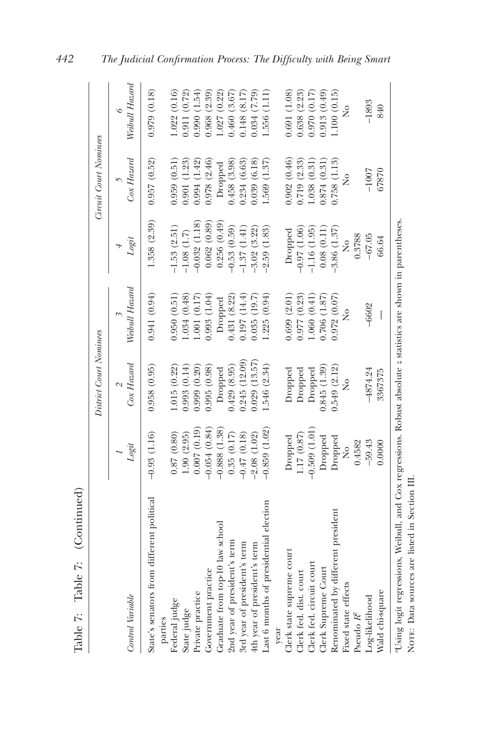|                                           |                | District Court Nominees |                |                  | Circuit Court Nominees |                 |
|-------------------------------------------|----------------|-------------------------|----------------|------------------|------------------------|-----------------|
| Control Variable                          | Logit          | Cox Hazard              | Weibull Hazard | Logit            | Cox Hazard             | Weibull Hazard  |
| State's senators from different political | $-0.93(1.16)$  | 0.958(0.95)             | 0.941(0.94)    | 1.358 (2.39)     | 0.957(0.52)            | (0.18)          |
| Federal judge<br>parties                  | 0.87(0.80)     | 1.015(0.22)             | 0.950(0.51)    | $-1.53(2.51)$    | 0.959(0.51)            | 1.022(0.16)     |
| State judge                               | 1.90(2.95)     | 0.993(0.14)             | 1.034(0.48)    | $-1.08(1.7)$     | 0.901(1.23)            | 0.911(0.72)     |
| Private practice                          | 0.007(0.19)    | 0.999 (0.20)            | 1.001(0.17)    | $-0.032(1.18)$   | 0.994(1.42)            | (1.54)<br>066.( |
| Government practice                       | $-0.054(0.84)$ | 0.995 (0.98)            | 0.993(1.04)    | 0.062(0.89)      | 0.978 (2.46)           | 0.968 (2.39)    |
| Graduate from top-10 law school           | $-0.888(1.38)$ | Dropped                 | Dropped        | 0.256(0.49)      | Dropped                | 1.027(0.22)     |
| 2nd year of president's term              | 0.35(0.17)     | 0.429(8.95)             | 0.431(8.22)    | $-0.53(0.59)$    | 0.458 (3.98)           | 0.460(3.67)     |
| 3rd year of president's term              | $-0.47(0.18)$  | 0.245 (12.09)           | 0.197(14.4)    | $-1.37(1.41)$    | 0.234(6.63)            | 148 (8.17)      |
| 4th year of president's term              | $-2.08(1.02)$  | 0.029(13.57)            | 0.035(19.7)    | $-3.02(3.22)$    | 0.039(6.18)            | 1.034 (7.79)    |
| Last 6 months of presidential election    | $-0.859(1.02)$ | 1.546 (2.34)            | (.225(0.94))   | $-2.59(1.83)$    | 1.569(1.37)            | 1.556 (1.11)    |
| year                                      |                |                         |                |                  |                        |                 |
| Clerk state supreme court                 | Dropped        | Dropped                 | 0.699(2.01)    | Dropped          | 0.902(0.46)            | 0.691 (1.08)    |
| Clerk fed. dist. court                    | 17(0.87)       | Dropped                 | 0.977(0.23)    | $-0.97(1.06)$    | 0.719(2.33)            | 0.638 (2.23)    |
| Clerk fed. circuit court                  | $-0.509(1.01)$ | Dropped                 | 1.060(0.41)    | $-1.16(1.95)$    | 1.038(0.31)            | (0.17)          |
| Clerk Supreme Court                       | Dropped        | 0.845(1.39)             | 0.706 (1.87)   | 0.08(0.11)       | 0.874 (0.31)           | ,913 (0.49)     |
| Renominated by different president        | Dropped        | 0.549(2.12)             | 0.972(0.07)    | $-3.86$ $(1.37)$ | 0.758(1.13)            | (.100)(0.15)    |
| Fixed state effects                       | ż              | $\frac{1}{2}$           | $\frac{1}{2}$  | 2                | ż                      | ş               |
| Pseudo $R^2$                              | 0.4582         |                         |                | 0.3788           |                        |                 |
| Log-likelihood                            | $-59.43$       | $-4874.24$              | $-6602$        | $-67.05$         | $-1007$                | $-1893$         |
| Wald chi-square                           | 0.0000         | 3367375                 |                | 66.64            | 67870                  | 840             |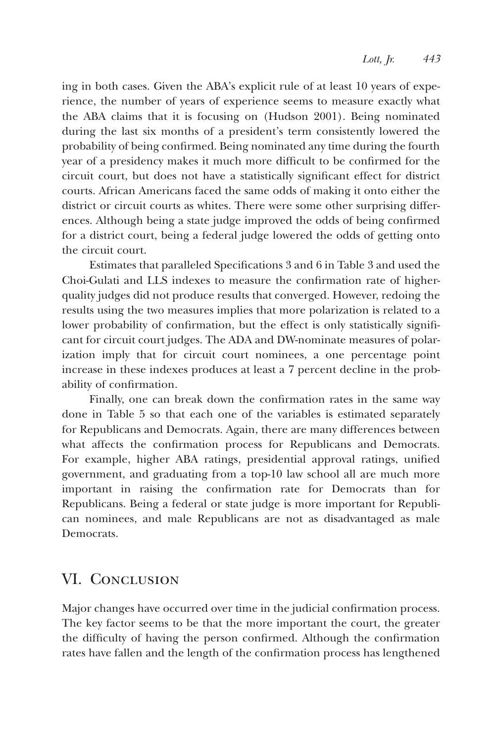ing in both cases. Given the ABA's explicit rule of at least 10 years of experience, the number of years of experience seems to measure exactly what the ABA claims that it is focusing on (Hudson 2001). Being nominated during the last six months of a president's term consistently lowered the probability of being confirmed. Being nominated any time during the fourth year of a presidency makes it much more difficult to be confirmed for the circuit court, but does not have a statistically significant effect for district courts. African Americans faced the same odds of making it onto either the district or circuit courts as whites. There were some other surprising differences. Although being a state judge improved the odds of being confirmed for a district court, being a federal judge lowered the odds of getting onto the circuit court.

Estimates that paralleled Specifications 3 and 6 in Table 3 and used the Choi-Gulati and LLS indexes to measure the confirmation rate of higherquality judges did not produce results that converged. However, redoing the results using the two measures implies that more polarization is related to a lower probability of confirmation, but the effect is only statistically significant for circuit court judges. The ADA and DW-nominate measures of polarization imply that for circuit court nominees, a one percentage point increase in these indexes produces at least a 7 percent decline in the probability of confirmation.

Finally, one can break down the confirmation rates in the same way done in Table 5 so that each one of the variables is estimated separately for Republicans and Democrats. Again, there are many differences between what affects the confirmation process for Republicans and Democrats. For example, higher ABA ratings, presidential approval ratings, unified government, and graduating from a top-10 law school all are much more important in raising the confirmation rate for Democrats than for Republicans. Being a federal or state judge is more important for Republican nominees, and male Republicans are not as disadvantaged as male Democrats.

# VI. CONCLUSION

Major changes have occurred over time in the judicial confirmation process. The key factor seems to be that the more important the court, the greater the difficulty of having the person confirmed. Although the confirmation rates have fallen and the length of the confirmation process has lengthened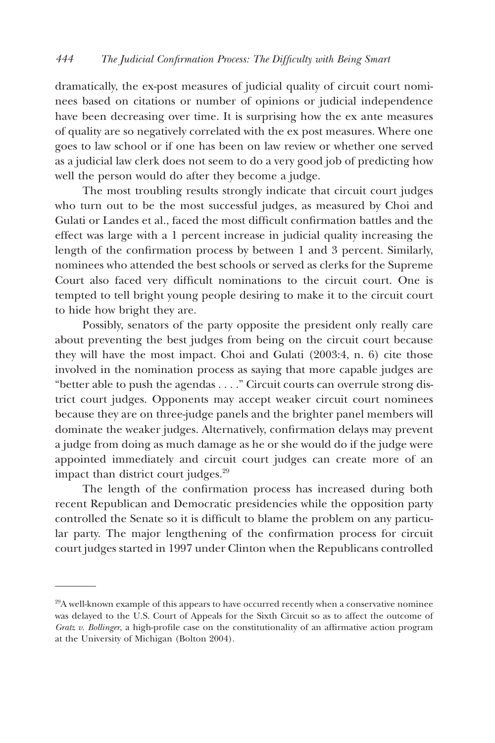dramatically, the ex-post measures of judicial quality of circuit court nominees based on citations or number of opinions or judicial independence have been decreasing over time. It is surprising how the ex ante measures of quality are so negatively correlated with the ex post measures. Where one goes to law school or if one has been on law review or whether one served as a judicial law clerk does not seem to do a very good job of predicting how well the person would do after they become a judge.

The most troubling results strongly indicate that circuit court judges who turn out to be the most successful judges, as measured by Choi and Gulati or Landes et al., faced the most difficult confirmation battles and the effect was large with a 1 percent increase in judicial quality increasing the length of the confirmation process by between 1 and 3 percent. Similarly, nominees who attended the best schools or served as clerks for the Supreme Court also faced very difficult nominations to the circuit court. One is tempted to tell bright young people desiring to make it to the circuit court to hide how bright they are.

Possibly, senators of the party opposite the president only really care about preventing the best judges from being on the circuit court because they will have the most impact. Choi and Gulati (2003:4, n. 6) cite those involved in the nomination process as saying that more capable judges are "better able to push the agendas . . . ." Circuit courts can overrule strong district court judges. Opponents may accept weaker circuit court nominees because they are on three-judge panels and the brighter panel members will dominate the weaker judges. Alternatively, confirmation delays may prevent a judge from doing as much damage as he or she would do if the judge were appointed immediately and circuit court judges can create more of an impact than district court judges.<sup>29</sup>

The length of the confirmation process has increased during both recent Republican and Democratic presidencies while the opposition party controlled the Senate so it is difficult to blame the problem on any particular party. The major lengthening of the confirmation process for circuit court judges started in 1997 under Clinton when the Republicans controlled

<sup>&</sup>lt;sup>29</sup>A well-known example of this appears to have occurred recently when a conservative nominee was delayed to the U.S. Court of Appeals for the Sixth Circuit so as to affect the outcome of *Gratz v. Bollinger*, a high-profile case on the constitutionality of an affirmative action program at the University of Michigan (Bolton 2004).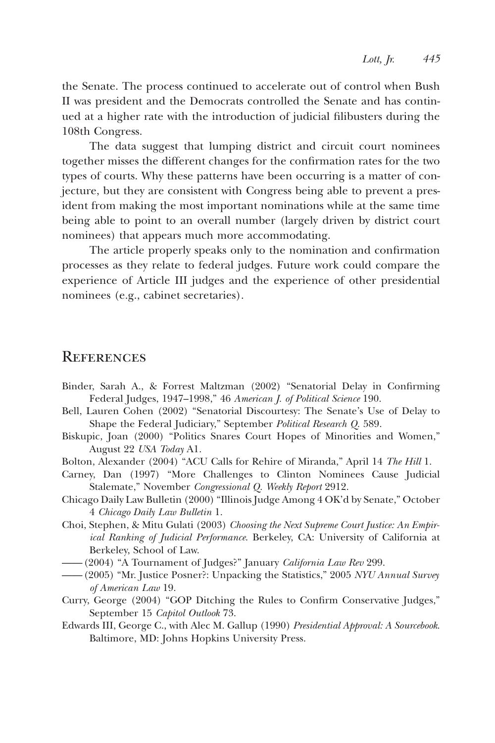the Senate. The process continued to accelerate out of control when Bush II was president and the Democrats controlled the Senate and has continued at a higher rate with the introduction of judicial filibusters during the 108th Congress.

The data suggest that lumping district and circuit court nominees together misses the different changes for the confirmation rates for the two types of courts. Why these patterns have been occurring is a matter of conjecture, but they are consistent with Congress being able to prevent a president from making the most important nominations while at the same time being able to point to an overall number (largely driven by district court nominees) that appears much more accommodating.

The article properly speaks only to the nomination and confirmation processes as they relate to federal judges. Future work could compare the experience of Article III judges and the experience of other presidential nominees (e.g., cabinet secretaries).

## **REFERENCES**

- Binder, Sarah A., & Forrest Maltzman (2002) "Senatorial Delay in Confirming Federal Judges, 1947–1998," 46 *American J. of Political Science* 190.
- Bell, Lauren Cohen (2002) "Senatorial Discourtesy: The Senate's Use of Delay to Shape the Federal Judiciary," September *Political Research Q.* 589.
- Biskupic, Joan (2000) "Politics Snares Court Hopes of Minorities and Women," August 22 *USA Today* A1.
- Bolton, Alexander (2004) "ACU Calls for Rehire of Miranda," April 14 *The Hill* 1.
- Carney, Dan (1997) "More Challenges to Clinton Nominees Cause Judicial Stalemate," November *Congressional Q. Weekly Report* 2912.
- Chicago Daily Law Bulletin (2000) "Illinois Judge Among 4 OK'd by Senate," October 4 *Chicago Daily Law Bulletin* 1.
- Choi, Stephen, & Mitu Gulati (2003) *Choosing the Next Supreme Court Justice: An Empirical Ranking of Judicial Performance*. Berkeley, CA: University of California at Berkeley, School of Law.
- ——(2004) "A Tournament of Judges?" January *California Law Rev* 299.
- ——(2005) "Mr. Justice Posner?: Unpacking the Statistics," 2005 *NYU Annual Survey of American Law* 19.
- Curry, George (2004) "GOP Ditching the Rules to Confirm Conservative Judges," September 15 *Capitol Outlook* 73.
- Edwards III, George C., with Alec M. Gallup (1990) *Presidential Approval: A Sourcebook*. Baltimore, MD: Johns Hopkins University Press.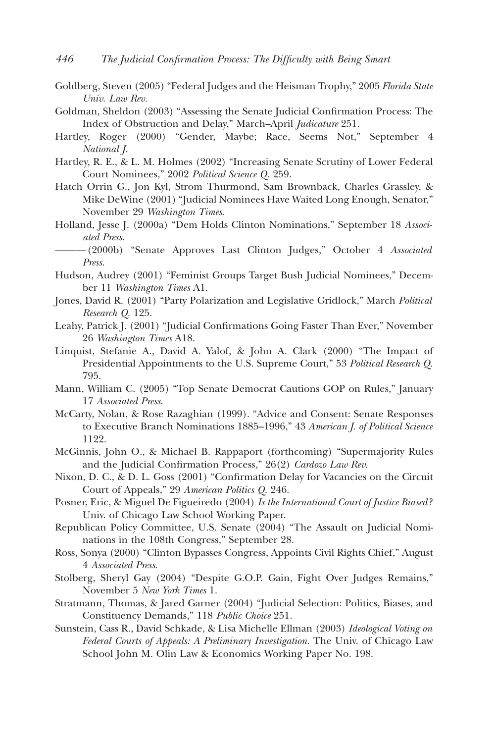- Goldberg, Steven (2005) "Federal Judges and the Heisman Trophy," 2005 *Florida State Univ. Law Rev.*
- Goldman, Sheldon (2003) "Assessing the Senate Judicial Confirmation Process: The Index of Obstruction and Delay," March–April *Judicature* 251.
- Hartley, Roger (2000) "Gender, Maybe; Race, Seems Not," September 4 *National J.*
- Hartley, R. E., & L. M. Holmes (2002) "Increasing Senate Scrutiny of Lower Federal Court Nominees," 2002 *Political Science Q.* 259.
- Hatch Orrin G., Jon Kyl, Strom Thurmond, Sam Brownback, Charles Grassley, & Mike DeWine (2001) "Judicial Nominees Have Waited Long Enough, Senator," November 29 *Washington Times*.
- Holland, Jesse J. (2000a) "Dem Holds Clinton Nominations," September 18 *Associated Press*.

- Hudson, Audrey (2001) "Feminist Groups Target Bush Judicial Nominees," December 11 *Washington Times* A1.
- Jones, David R. (2001) "Party Polarization and Legislative Gridlock," March *Political Research Q.* 125.
- Leahy, Patrick J. (2001) "Judicial Confirmations Going Faster Than Ever," November 26 *Washington Times* A18.
- Linquist, Stefanie A., David A. Yalof, & John A. Clark (2000) "The Impact of Presidential Appointments to the U.S. Supreme Court," 53 *Political Research Q.* 795.
- Mann, William C. (2005) "Top Senate Democrat Cautions GOP on Rules," January 17 *Associated Press*.
- McCarty, Nolan, & Rose Razaghian (1999). "Advice and Consent: Senate Responses to Executive Branch Nominations 1885–1996," 43 *American J. of Political Science* 1122.
- McGinnis, John O., & Michael B. Rappaport (forthcoming) "Supermajority Rules and the Judicial Confirmation Process," 26(2) *Cardozo Law Rev.*
- Nixon, D. C., & D. L. Goss (2001) "Confirmation Delay for Vacancies on the Circuit Court of Appeals," 29 *American Politics Q.* 246.

Posner, Eric, & Miguel De Figueiredo (2004) *Is the International Court of Justice Biased?* Univ. of Chicago Law School Working Paper.

- Republican Policy Committee, U.S. Senate (2004) "The Assault on Judicial Nominations in the 108th Congress," September 28.
- Ross, Sonya (2000) "Clinton Bypasses Congress, Appoints Civil Rights Chief," August 4 *Associated Press*.
- Stolberg, Sheryl Gay (2004) "Despite G.O.P. Gain, Fight Over Judges Remains," November 5 *New York Times* 1.
- Stratmann, Thomas, & Jared Garner (2004) "Judicial Selection: Politics, Biases, and Constituency Demands," 118 *Public Choice* 251.
- Sunstein, Cass R., David Schkade, & Lisa Michelle Ellman (2003) *Ideological Voting on Federal Courts of Appeals: A Preliminary Investigation*. The Univ. of Chicago Law School John M. Olin Law & Economics Working Paper No. 198.

<sup>———(2000</sup>b) "Senate Approves Last Clinton Judges," October 4 *Associated Press*.